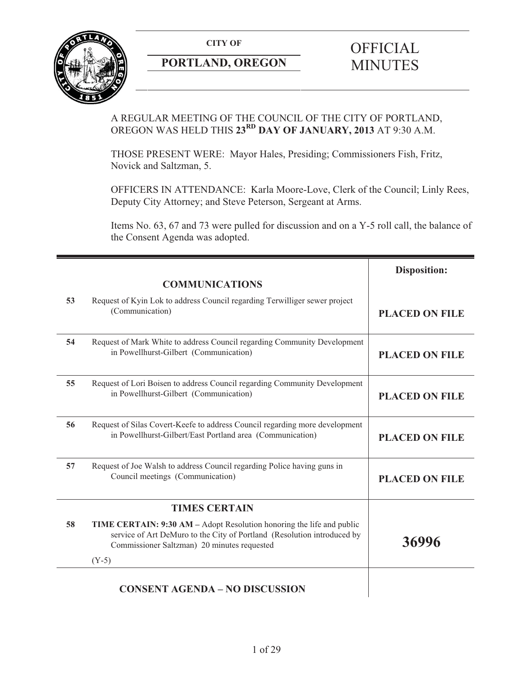**CITY OF** 



# **PORTLAND, OREGON**

# **OFFICIAL** MINUTES

## A REGULAR MEETING OF THE COUNCIL OF THE CITY OF PORTLAND, OREGON WAS HELD THIS **23RD DAY OF JANUARY, 2013** AT 9:30 A.M.

THOSE PRESENT WERE: Mayor Hales, Presiding; Commissioners Fish, Fritz, Novick and Saltzman, 5.

OFFICERS IN ATTENDANCE: Karla Moore-Love, Clerk of the Council; Linly Rees, Deputy City Attorney; and Steve Peterson, Sergeant at Arms.

Items No. 63, 67 and 73 were pulled for discussion and on a Y-5 roll call, the balance of the Consent Agenda was adopted.

|    |                                                                                                                                                                                                 | <b>Disposition:</b>   |
|----|-------------------------------------------------------------------------------------------------------------------------------------------------------------------------------------------------|-----------------------|
|    | <b>COMMUNICATIONS</b>                                                                                                                                                                           |                       |
| 53 | Request of Kyin Lok to address Council regarding Terwilliger sewer project<br>(Communication)                                                                                                   | <b>PLACED ON FILE</b> |
| 54 | Request of Mark White to address Council regarding Community Development<br>in Powellhurst-Gilbert (Communication)                                                                              | <b>PLACED ON FILE</b> |
| 55 | Request of Lori Boisen to address Council regarding Community Development<br>in Powellhurst-Gilbert (Communication)                                                                             | <b>PLACED ON FILE</b> |
| 56 | Request of Silas Covert-Keefe to address Council regarding more development<br>in Powellhurst-Gilbert/East Portland area (Communication)                                                        | <b>PLACED ON FILE</b> |
| 57 | Request of Joe Walsh to address Council regarding Police having guns in<br>Council meetings (Communication)                                                                                     | <b>PLACED ON FILE</b> |
|    | <b>TIMES CERTAIN</b>                                                                                                                                                                            |                       |
| 58 | TIME CERTAIN: 9:30 AM - Adopt Resolution honoring the life and public<br>service of Art DeMuro to the City of Portland (Resolution introduced by<br>Commissioner Saltzman) 20 minutes requested | 36996                 |
|    | $(Y-5)$                                                                                                                                                                                         |                       |
|    | <b>CONSENT AGENDA - NO DISCUSSION</b>                                                                                                                                                           |                       |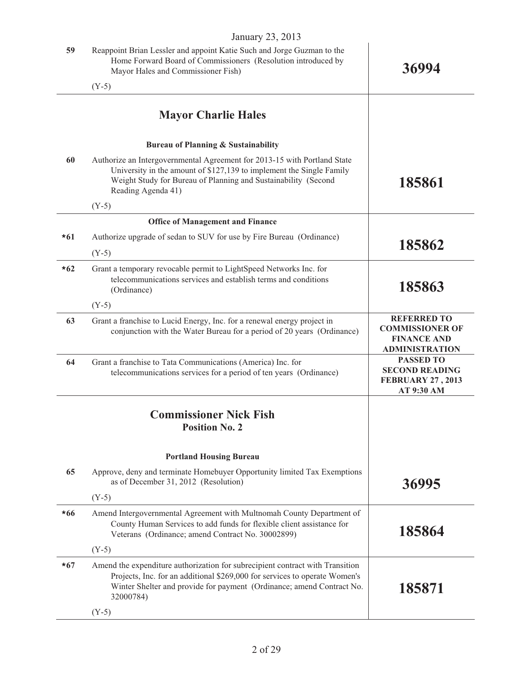|       | $J$ anuary 20, 2010                                                                                                                                                                                                                               |                                                                                             |
|-------|---------------------------------------------------------------------------------------------------------------------------------------------------------------------------------------------------------------------------------------------------|---------------------------------------------------------------------------------------------|
| 59    | Reappoint Brian Lessler and appoint Katie Such and Jorge Guzman to the<br>Home Forward Board of Commissioners (Resolution introduced by<br>Mayor Hales and Commissioner Fish)                                                                     | 36994                                                                                       |
|       | $(Y-5)$                                                                                                                                                                                                                                           |                                                                                             |
|       | <b>Mayor Charlie Hales</b>                                                                                                                                                                                                                        |                                                                                             |
|       | <b>Bureau of Planning &amp; Sustainability</b>                                                                                                                                                                                                    |                                                                                             |
| 60    | Authorize an Intergovernmental Agreement for 2013-15 with Portland State<br>University in the amount of \$127,139 to implement the Single Family<br>Weight Study for Bureau of Planning and Sustainability (Second<br>Reading Agenda 41)          | 185861                                                                                      |
|       | $(Y-5)$                                                                                                                                                                                                                                           |                                                                                             |
|       | <b>Office of Management and Finance</b>                                                                                                                                                                                                           |                                                                                             |
| $*61$ | Authorize upgrade of sedan to SUV for use by Fire Bureau (Ordinance)                                                                                                                                                                              | 185862                                                                                      |
|       | $(Y-5)$                                                                                                                                                                                                                                           |                                                                                             |
| $*62$ | Grant a temporary revocable permit to LightSpeed Networks Inc. for<br>telecommunications services and establish terms and conditions<br>(Ordinance)                                                                                               | 185863                                                                                      |
|       | $(Y-5)$                                                                                                                                                                                                                                           |                                                                                             |
| 63    | Grant a franchise to Lucid Energy, Inc. for a renewal energy project in<br>conjunction with the Water Bureau for a period of 20 years (Ordinance)                                                                                                 | <b>REFERRED TO</b><br><b>COMMISSIONER OF</b><br><b>FINANCE AND</b><br><b>ADMINISTRATION</b> |
| 64    | Grant a franchise to Tata Communications (America) Inc. for<br>telecommunications services for a period of ten years (Ordinance)                                                                                                                  | <b>PASSED TO</b><br><b>SECOND READING</b><br><b>FEBRUARY 27, 2013</b><br>AT 9:30 AM         |
|       | <b>Commissioner Nick Fish</b><br><b>Position No. 2</b>                                                                                                                                                                                            |                                                                                             |
|       | <b>Portland Housing Bureau</b>                                                                                                                                                                                                                    |                                                                                             |
| 65    | Approve, deny and terminate Homebuyer Opportunity limited Tax Exemptions<br>as of December 31, 2012 (Resolution)                                                                                                                                  | 36995                                                                                       |
|       | $(Y-5)$                                                                                                                                                                                                                                           |                                                                                             |
| $*66$ | Amend Intergovernmental Agreement with Multnomah County Department of<br>County Human Services to add funds for flexible client assistance for<br>Veterans (Ordinance; amend Contract No. 30002899)                                               | 185864                                                                                      |
|       | $(Y-5)$                                                                                                                                                                                                                                           |                                                                                             |
| $*67$ | Amend the expenditure authorization for subrecipient contract with Transition<br>Projects, Inc. for an additional \$269,000 for services to operate Women's<br>Winter Shelter and provide for payment (Ordinance; amend Contract No.<br>32000784) | 185871                                                                                      |
|       | $(Y-5)$                                                                                                                                                                                                                                           |                                                                                             |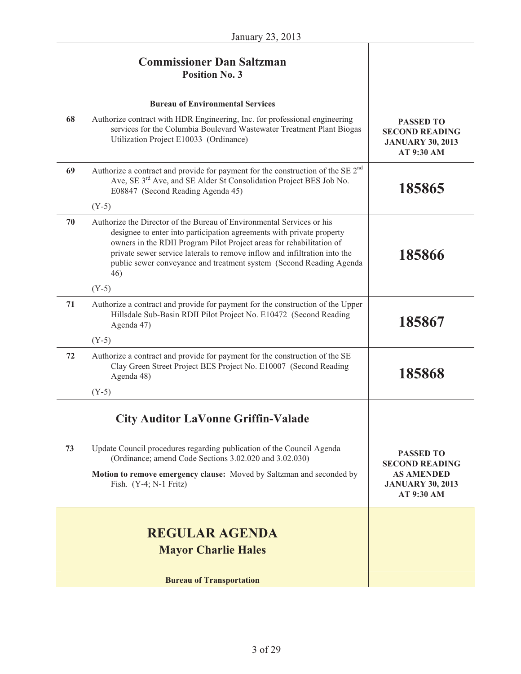# **Commissioner Dan Saltzman Position No. 3**

|    | <b>Bureau of Environmental Services</b>                                                                                                                                                                                                                                                                                                                                                      |                                                                                                         |
|----|----------------------------------------------------------------------------------------------------------------------------------------------------------------------------------------------------------------------------------------------------------------------------------------------------------------------------------------------------------------------------------------------|---------------------------------------------------------------------------------------------------------|
| 68 | Authorize contract with HDR Engineering, Inc. for professional engineering<br>services for the Columbia Boulevard Wastewater Treatment Plant Biogas<br>Utilization Project E10033 (Ordinance)                                                                                                                                                                                                | <b>PASSED TO</b><br><b>SECOND READING</b><br><b>JANUARY 30, 2013</b><br>AT 9:30 AM                      |
| 69 | Authorize a contract and provide for payment for the construction of the SE 2 <sup>nd</sup><br>Ave, SE 3 <sup>rd</sup> Ave, and SE Alder St Consolidation Project BES Job No.<br>E08847 (Second Reading Agenda 45)<br>$(Y-5)$                                                                                                                                                                | 185865                                                                                                  |
| 70 | Authorize the Director of the Bureau of Environmental Services or his<br>designee to enter into participation agreements with private property<br>owners in the RDII Program Pilot Project areas for rehabilitation of<br>private sewer service laterals to remove inflow and infiltration into the<br>public sewer conveyance and treatment system (Second Reading Agenda<br>46)<br>$(Y-5)$ | 185866                                                                                                  |
| 71 | Authorize a contract and provide for payment for the construction of the Upper<br>Hillsdale Sub-Basin RDII Pilot Project No. E10472 (Second Reading<br>Agenda 47)<br>$(Y-5)$                                                                                                                                                                                                                 | 185867                                                                                                  |
| 72 | Authorize a contract and provide for payment for the construction of the SE<br>Clay Green Street Project BES Project No. E10007 (Second Reading<br>Agenda 48)<br>$(Y-5)$                                                                                                                                                                                                                     | 185868                                                                                                  |
|    | <b>City Auditor LaVonne Griffin-Valade</b>                                                                                                                                                                                                                                                                                                                                                   |                                                                                                         |
| 73 | Update Council procedures regarding publication of the Council Agenda<br>(Ordinance; amend Code Sections 3.02.020 and 3.02.030)<br>Motion to remove emergency clause: Moved by Saltzman and seconded by<br>Fish. $(Y-4; N-1$ Fritz)                                                                                                                                                          | <b>PASSED TO</b><br><b>SECOND READING</b><br><b>AS AMENDED</b><br><b>JANUARY 30, 2013</b><br>AT 9:30 AM |
|    | <b>REGULAR AGENDA</b><br><b>Mayor Charlie Hales</b>                                                                                                                                                                                                                                                                                                                                          |                                                                                                         |

**Bureau of Transportation**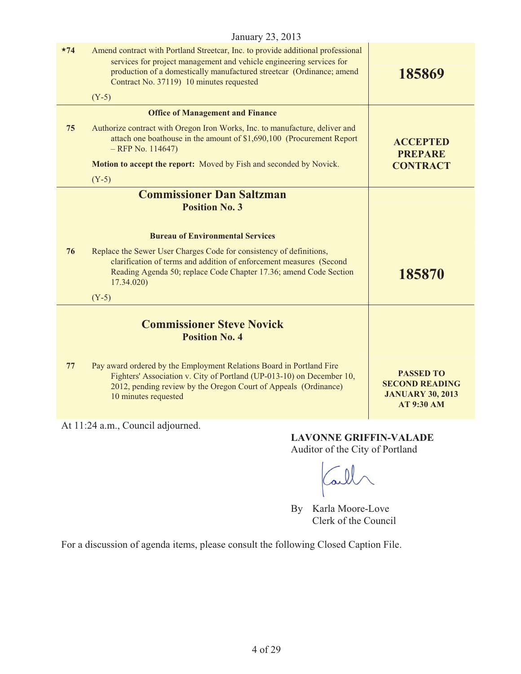| $*74$ | Amend contract with Portland Streetcar, Inc. to provide additional professional<br>services for project management and vehicle engineering services for<br>production of a domestically manufactured streetcar (Ordinance; amend<br>Contract No. 37119) 10 minutes requested | 185869                                                                                    |
|-------|------------------------------------------------------------------------------------------------------------------------------------------------------------------------------------------------------------------------------------------------------------------------------|-------------------------------------------------------------------------------------------|
|       | $(Y-5)$                                                                                                                                                                                                                                                                      |                                                                                           |
|       | <b>Office of Management and Finance</b>                                                                                                                                                                                                                                      |                                                                                           |
| 75    | Authorize contract with Oregon Iron Works, Inc. to manufacture, deliver and<br>attach one boathouse in the amount of \$1,690,100 (Procurement Report<br>$-$ RFP No. 114647)                                                                                                  | <b>ACCEPTED</b><br><b>PREPARE</b>                                                         |
|       | Motion to accept the report: Moved by Fish and seconded by Novick.                                                                                                                                                                                                           | <b>CONTRACT</b>                                                                           |
|       | $(Y-5)$                                                                                                                                                                                                                                                                      |                                                                                           |
|       | <b>Commissioner Dan Saltzman</b>                                                                                                                                                                                                                                             |                                                                                           |
|       | <b>Position No. 3</b>                                                                                                                                                                                                                                                        |                                                                                           |
|       |                                                                                                                                                                                                                                                                              |                                                                                           |
|       | <b>Bureau of Environmental Services</b>                                                                                                                                                                                                                                      |                                                                                           |
| 76    | Replace the Sewer User Charges Code for consistency of definitions,<br>clarification of terms and addition of enforcement measures (Second<br>Reading Agenda 50; replace Code Chapter 17.36; amend Code Section<br>17.34.020)                                                | 185870                                                                                    |
|       | $(Y-5)$                                                                                                                                                                                                                                                                      |                                                                                           |
|       | <b>Commissioner Steve Novick</b><br><b>Position No. 4</b>                                                                                                                                                                                                                    |                                                                                           |
| 77    | Pay award ordered by the Employment Relations Board in Portland Fire<br>Fighters' Association v. City of Portland (UP-013-10) on December 10,<br>2012, pending review by the Oregon Court of Appeals (Ordinance)<br>10 minutes requested                                     | <b>PASSED TO</b><br><b>SECOND READING</b><br><b>JANUARY 30, 2013</b><br><b>AT 9:30 AM</b> |
|       | At 11:24 a.m., Council adjourned.                                                                                                                                                                                                                                            |                                                                                           |

**LAVONNE GRIFFIN-VALADE**  Auditor of the City of Portland

Call

By Karla Moore-Love Clerk of the Council

For a discussion of agenda items, please consult the following Closed Caption File.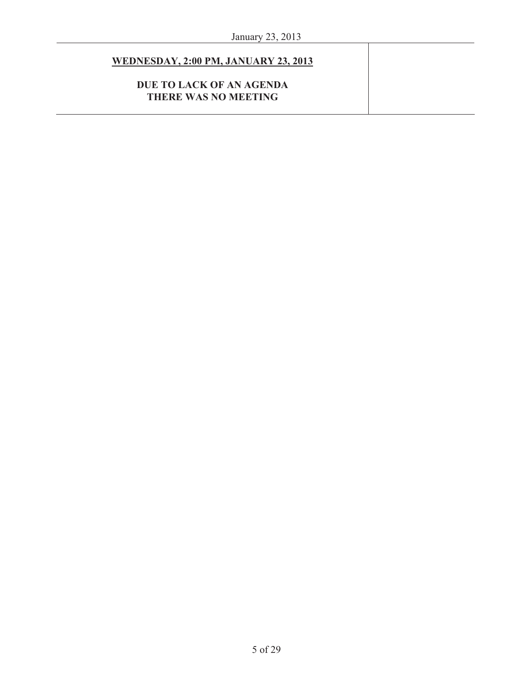## **WEDNESDAY, 2:00 PM, JANUARY 23, 2013**

## **DUE TO LACK OF AN AGENDA THERE WAS NO MEETING**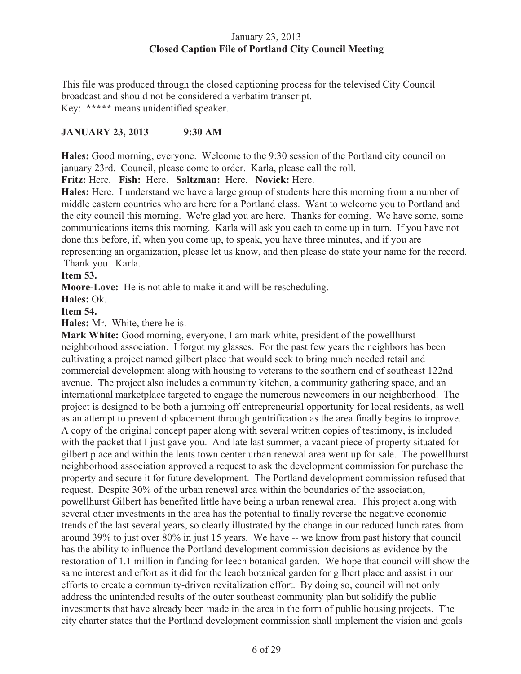## January 23, 2013 **Closed Caption File of Portland City Council Meeting**

This file was produced through the closed captioning process for the televised City Council broadcast and should not be considered a verbatim transcript. Key: **\*\*\*\*\*** means unidentified speaker.

## **JANUARY 23, 2013 9:30 AM**

**Hales:** Good morning, everyone. Welcome to the 9:30 session of the Portland city council on january 23rd. Council, please come to order. Karla, please call the roll.

**Fritz:** Here. **Fish:** Here. **Saltzman:** Here. **Novick:** Here.

**Hales:** Here. I understand we have a large group of students here this morning from a number of middle eastern countries who are here for a Portland class. Want to welcome you to Portland and the city council this morning. We're glad you are here. Thanks for coming. We have some, some communications items this morning. Karla will ask you each to come up in turn. If you have not done this before, if, when you come up, to speak, you have three minutes, and if you are representing an organization, please let us know, and then please do state your name for the record.

Thank you. Karla.

## **Item 53.**

**Moore-Love:** He is not able to make it and will be rescheduling.

**Hales:** Ok.

## **Item 54.**

**Hales:** Mr. White, there he is.

**Mark White:** Good morning, everyone, I am mark white, president of the powellhurst neighborhood association. I forgot my glasses. For the past few years the neighbors has been cultivating a project named gilbert place that would seek to bring much needed retail and commercial development along with housing to veterans to the southern end of southeast 122nd avenue. The project also includes a community kitchen, a community gathering space, and an international marketplace targeted to engage the numerous newcomers in our neighborhood. The project is designed to be both a jumping off entrepreneurial opportunity for local residents, as well as an attempt to prevent displacement through gentrification as the area finally begins to improve. A copy of the original concept paper along with several written copies of testimony, is included with the packet that I just gave you. And late last summer, a vacant piece of property situated for gilbert place and within the lents town center urban renewal area went up for sale. The powellhurst neighborhood association approved a request to ask the development commission for purchase the property and secure it for future development. The Portland development commission refused that request. Despite 30% of the urban renewal area within the boundaries of the association, powellhurst Gilbert has benefited little have being a urban renewal area. This project along with several other investments in the area has the potential to finally reverse the negative economic trends of the last several years, so clearly illustrated by the change in our reduced lunch rates from around 39% to just over 80% in just 15 years. We have -- we know from past history that council has the ability to influence the Portland development commission decisions as evidence by the restoration of 1.1 million in funding for leech botanical garden. We hope that council will show the same interest and effort as it did for the leach botanical garden for gilbert place and assist in our efforts to create a community-driven revitalization effort. By doing so, council will not only address the unintended results of the outer southeast community plan but solidify the public investments that have already been made in the area in the form of public housing projects. The city charter states that the Portland development commission shall implement the vision and goals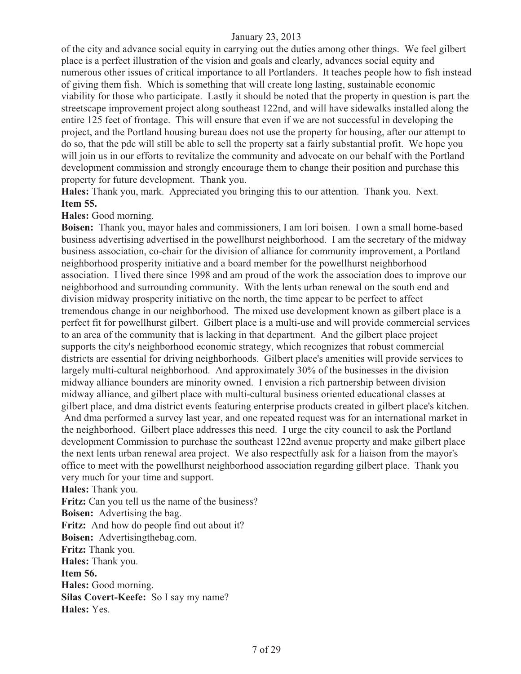of the city and advance social equity in carrying out the duties among other things. We feel gilbert place is a perfect illustration of the vision and goals and clearly, advances social equity and numerous other issues of critical importance to all Portlanders. It teaches people how to fish instead of giving them fish. Which is something that will create long lasting, sustainable economic viability for those who participate. Lastly it should be noted that the property in question is part the streetscape improvement project along southeast 122nd, and will have sidewalks installed along the entire 125 feet of frontage. This will ensure that even if we are not successful in developing the project, and the Portland housing bureau does not use the property for housing, after our attempt to do so, that the pdc will still be able to sell the property sat a fairly substantial profit. We hope you will join us in our efforts to revitalize the community and advocate on our behalf with the Portland development commission and strongly encourage them to change their position and purchase this property for future development. Thank you.

**Hales:** Thank you, mark. Appreciated you bringing this to our attention. Thank you. Next. **Item 55.**

#### **Hales:** Good morning.

**Boisen:** Thank you, mayor hales and commissioners, I am lori boisen. I own a small home-based business advertising advertised in the powellhurst neighborhood. I am the secretary of the midway business association, co-chair for the division of alliance for community improvement, a Portland neighborhood prosperity initiative and a board member for the powellhurst neighborhood association. I lived there since 1998 and am proud of the work the association does to improve our neighborhood and surrounding community. With the lents urban renewal on the south end and division midway prosperity initiative on the north, the time appear to be perfect to affect tremendous change in our neighborhood. The mixed use development known as gilbert place is a perfect fit for powellhurst gilbert. Gilbert place is a multi-use and will provide commercial services to an area of the community that is lacking in that department. And the gilbert place project supports the city's neighborhood economic strategy, which recognizes that robust commercial districts are essential for driving neighborhoods. Gilbert place's amenities will provide services to largely multi-cultural neighborhood. And approximately 30% of the businesses in the division midway alliance bounders are minority owned. I envision a rich partnership between division midway alliance, and gilbert place with multi-cultural business oriented educational classes at gilbert place, and dma district events featuring enterprise products created in gilbert place's kitchen.

 And dma performed a survey last year, and one repeated request was for an international market in the neighborhood. Gilbert place addresses this need. I urge the city council to ask the Portland development Commission to purchase the southeast 122nd avenue property and make gilbert place the next lents urban renewal area project. We also respectfully ask for a liaison from the mayor's office to meet with the powellhurst neighborhood association regarding gilbert place. Thank you very much for your time and support.

**Hales:** Thank you.

**Fritz:** Can you tell us the name of the business?

**Boisen:** Advertising the bag.

**Fritz:** And how do people find out about it?

**Boisen:** Advertisingthebag.com.

**Fritz:** Thank you.

**Hales:** Thank you.

**Item 56.** 

**Hales:** Good morning.

**Silas Covert-Keefe:** So I say my name?

**Hales:** Yes.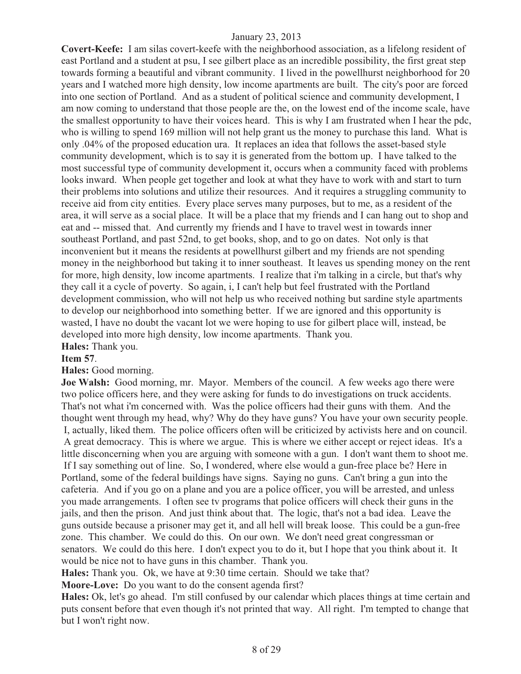**Covert-Keefe:** I am silas covert-keefe with the neighborhood association, as a lifelong resident of east Portland and a student at psu, I see gilbert place as an incredible possibility, the first great step towards forming a beautiful and vibrant community. I lived in the powellhurst neighborhood for 20 years and I watched more high density, low income apartments are built. The city's poor are forced into one section of Portland. And as a student of political science and community development, I am now coming to understand that those people are the, on the lowest end of the income scale, have the smallest opportunity to have their voices heard. This is why I am frustrated when I hear the pdc, who is willing to spend 169 million will not help grant us the money to purchase this land. What is only .04% of the proposed education ura. It replaces an idea that follows the asset-based style community development, which is to say it is generated from the bottom up. I have talked to the most successful type of community development it, occurs when a community faced with problems looks inward. When people get together and look at what they have to work with and start to turn their problems into solutions and utilize their resources. And it requires a struggling community to receive aid from city entities. Every place serves many purposes, but to me, as a resident of the area, it will serve as a social place. It will be a place that my friends and I can hang out to shop and eat and -- missed that. And currently my friends and I have to travel west in towards inner southeast Portland, and past 52nd, to get books, shop, and to go on dates. Not only is that inconvenient but it means the residents at powellhurst gilbert and my friends are not spending money in the neighborhood but taking it to inner southeast. It leaves us spending money on the rent for more, high density, low income apartments. I realize that i'm talking in a circle, but that's why they call it a cycle of poverty. So again, i, I can't help but feel frustrated with the Portland development commission, who will not help us who received nothing but sardine style apartments to develop our neighborhood into something better. If we are ignored and this opportunity is wasted, I have no doubt the vacant lot we were hoping to use for gilbert place will, instead, be developed into more high density, low income apartments. Thank you. **Hales:** Thank you.

## **Item 57**.

**Hales:** Good morning.

**Joe Walsh:** Good morning, mr. Mayor. Members of the council. A few weeks ago there were two police officers here, and they were asking for funds to do investigations on truck accidents. That's not what i'm concerned with. Was the police officers had their guns with them. And the thought went through my head, why? Why do they have guns? You have your own security people. I, actually, liked them. The police officers often will be criticized by activists here and on council. A great democracy. This is where we argue. This is where we either accept or reject ideas. It's a little disconcerning when you are arguing with someone with a gun. I don't want them to shoot me. If I say something out of line. So, I wondered, where else would a gun-free place be? Here in Portland, some of the federal buildings have signs. Saying no guns. Can't bring a gun into the cafeteria. And if you go on a plane and you are a police officer, you will be arrested, and unless you made arrangements. I often see tv programs that police officers will check their guns in the jails, and then the prison. And just think about that. The logic, that's not a bad idea. Leave the guns outside because a prisoner may get it, and all hell will break loose. This could be a gun-free zone. This chamber. We could do this. On our own. We don't need great congressman or senators. We could do this here. I don't expect you to do it, but I hope that you think about it. It would be nice not to have guns in this chamber. Thank you.

**Hales:** Thank you. Ok, we have at 9:30 time certain. Should we take that?

**Moore-Love:** Do you want to do the consent agenda first?

**Hales:** Ok, let's go ahead. I'm still confused by our calendar which places things at time certain and puts consent before that even though it's not printed that way. All right. I'm tempted to change that but I won't right now.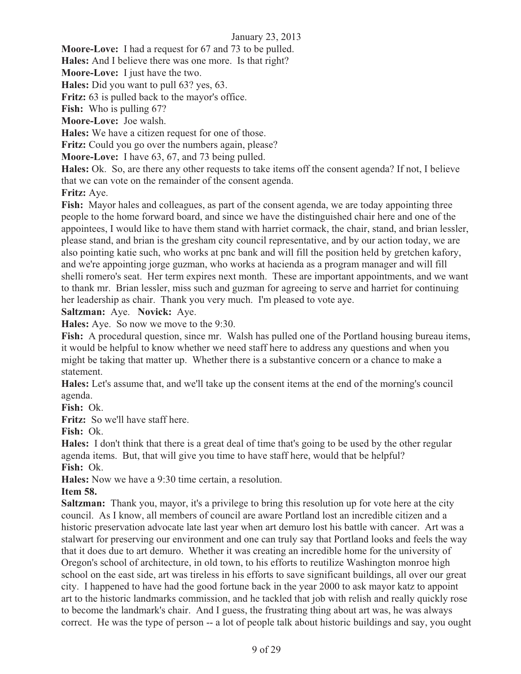**Moore-Love:** I had a request for 67 and 73 to be pulled.

**Hales:** And I believe there was one more. Is that right?

**Moore-Love:** I just have the two.

**Hales:** Did you want to pull 63? yes, 63.

Fritz: 63 is pulled back to the mayor's office.

**Fish:** Who is pulling 67?

**Moore-Love:** Joe walsh.

**Hales:** We have a citizen request for one of those.

Fritz: Could you go over the numbers again, please?

**Moore-Love:** I have 63, 67, and 73 being pulled.

**Hales:** Ok. So, are there any other requests to take items off the consent agenda? If not, I believe that we can vote on the remainder of the consent agenda.

**Fritz:** Aye.

**Fish:** Mayor hales and colleagues, as part of the consent agenda, we are today appointing three people to the home forward board, and since we have the distinguished chair here and one of the appointees, I would like to have them stand with harriet cormack, the chair, stand, and brian lessler, please stand, and brian is the gresham city council representative, and by our action today, we are also pointing katie such, who works at pnc bank and will fill the position held by gretchen kafory, and we're appointing jorge guzman, who works at hacienda as a program manager and will fill shelli romero's seat. Her term expires next month. These are important appointments, and we want to thank mr. Brian lessler, miss such and guzman for agreeing to serve and harriet for continuing her leadership as chair. Thank you very much. I'm pleased to vote aye.

**Saltzman:** Aye. **Novick:** Aye.

**Hales:** Aye. So now we move to the 9:30.

**Fish:** A procedural question, since mr. Walsh has pulled one of the Portland housing bureau items, it would be helpful to know whether we need staff here to address any questions and when you might be taking that matter up. Whether there is a substantive concern or a chance to make a statement.

**Hales:** Let's assume that, and we'll take up the consent items at the end of the morning's council agenda.

**Fish:** Ok.

**Fritz:** So we'll have staff here.

**Fish:** Ok.

**Hales:** I don't think that there is a great deal of time that's going to be used by the other regular agenda items. But, that will give you time to have staff here, would that be helpful? **Fish:** Ok.

**Hales:** Now we have a 9:30 time certain, a resolution.

#### **Item 58.**

**Saltzman:** Thank you, mayor, it's a privilege to bring this resolution up for vote here at the city council. As I know, all members of council are aware Portland lost an incredible citizen and a historic preservation advocate late last year when art demuro lost his battle with cancer. Art was a stalwart for preserving our environment and one can truly say that Portland looks and feels the way that it does due to art demuro. Whether it was creating an incredible home for the university of Oregon's school of architecture, in old town, to his efforts to reutilize Washington monroe high school on the east side, art was tireless in his efforts to save significant buildings, all over our great city. I happened to have had the good fortune back in the year 2000 to ask mayor katz to appoint art to the historic landmarks commission, and he tackled that job with relish and really quickly rose to become the landmark's chair. And I guess, the frustrating thing about art was, he was always correct. He was the type of person -- a lot of people talk about historic buildings and say, you ought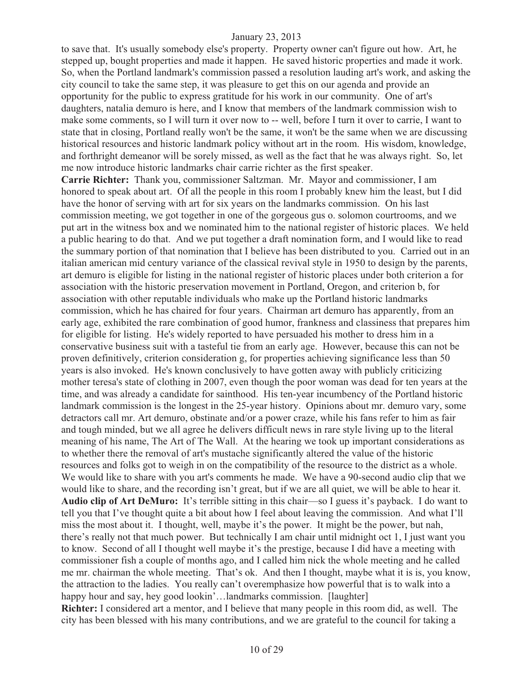to save that. It's usually somebody else's property. Property owner can't figure out how. Art, he stepped up, bought properties and made it happen. He saved historic properties and made it work. So, when the Portland landmark's commission passed a resolution lauding art's work, and asking the city council to take the same step, it was pleasure to get this on our agenda and provide an opportunity for the public to express gratitude for his work in our community. One of art's daughters, natalia demuro is here, and I know that members of the landmark commission wish to make some comments, so I will turn it over now to -- well, before I turn it over to carrie, I want to state that in closing, Portland really won't be the same, it won't be the same when we are discussing historical resources and historic landmark policy without art in the room. His wisdom, knowledge, and forthright demeanor will be sorely missed, as well as the fact that he was always right. So, let me now introduce historic landmarks chair carrie richter as the first speaker.

**Carrie Richter:** Thank you, commissioner Saltzman. Mr. Mayor and commissioner, I am honored to speak about art. Of all the people in this room I probably knew him the least, but I did have the honor of serving with art for six years on the landmarks commission. On his last commission meeting, we got together in one of the gorgeous gus o. solomon courtrooms, and we put art in the witness box and we nominated him to the national register of historic places. We held a public hearing to do that. And we put together a draft nomination form, and I would like to read the summary portion of that nomination that I believe has been distributed to you. Carried out in an italian american mid century variance of the classical revival style in 1950 to design by the parents, art demuro is eligible for listing in the national register of historic places under both criterion a for association with the historic preservation movement in Portland, Oregon, and criterion b, for association with other reputable individuals who make up the Portland historic landmarks commission, which he has chaired for four years. Chairman art demuro has apparently, from an early age, exhibited the rare combination of good humor, frankness and classiness that prepares him for eligible for listing. He's widely reported to have persuaded his mother to dress him in a conservative business suit with a tasteful tie from an early age. However, because this can not be proven definitively, criterion consideration g, for properties achieving significance less than 50 years is also invoked. He's known conclusively to have gotten away with publicly criticizing mother teresa's state of clothing in 2007, even though the poor woman was dead for ten years at the time, and was already a candidate for sainthood. His ten-year incumbency of the Portland historic landmark commission is the longest in the 25-year history. Opinions about mr. demuro vary, some detractors call mr. Art demuro, obstinate and/or a power craze, while his fans refer to him as fair and tough minded, but we all agree he delivers difficult news in rare style living up to the literal meaning of his name, The Art of The Wall. At the hearing we took up important considerations as to whether there the removal of art's mustache significantly altered the value of the historic resources and folks got to weigh in on the compatibility of the resource to the district as a whole. We would like to share with you art's comments he made. We have a 90-second audio clip that we would like to share, and the recording isn't great, but if we are all quiet, we will be able to hear it. **Audio clip of Art DeMuro:** It's terrible sitting in this chair—so I guess it's payback. I do want to tell you that I've thought quite a bit about how I feel about leaving the commission. And what I'll miss the most about it. I thought, well, maybe it's the power. It might be the power, but nah, there's really not that much power. But technically I am chair until midnight oct 1, I just want you to know. Second of all I thought well maybe it's the prestige, because I did have a meeting with commissioner fish a couple of months ago, and I called him nick the whole meeting and he called me mr. chairman the whole meeting. That's ok. And then I thought, maybe what it is is, you know, the attraction to the ladies. You really can't overemphasize how powerful that is to walk into a happy hour and say, hey good lookin'...landmarks commission. [laughter]

**Richter:** I considered art a mentor, and I believe that many people in this room did, as well. The city has been blessed with his many contributions, and we are grateful to the council for taking a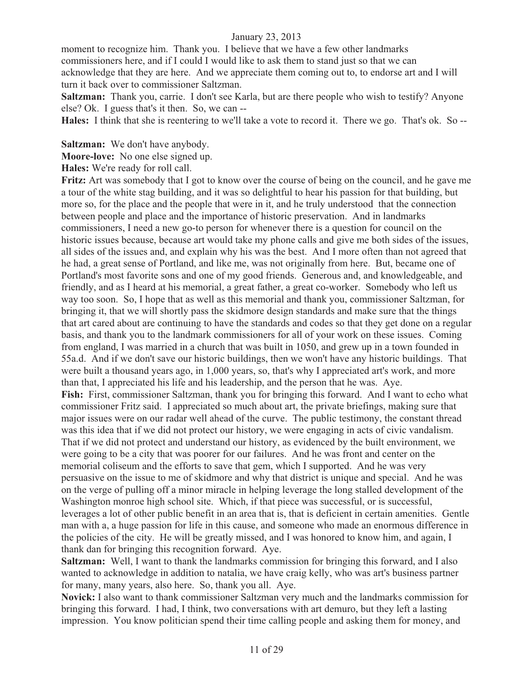moment to recognize him. Thank you. I believe that we have a few other landmarks commissioners here, and if I could I would like to ask them to stand just so that we can acknowledge that they are here. And we appreciate them coming out to, to endorse art and I will turn it back over to commissioner Saltzman.

**Saltzman:** Thank you, carrie. I don't see Karla, but are there people who wish to testify? Anyone else? Ok. I guess that's it then. So, we can --

**Hales:** I think that she is reentering to we'll take a vote to record it. There we go. That's ok. So --

**Saltzman:** We don't have anybody.

**Moore-love:** No one else signed up.

**Hales:** We're ready for roll call.

**Fritz:** Art was somebody that I got to know over the course of being on the council, and he gave me a tour of the white stag building, and it was so delightful to hear his passion for that building, but more so, for the place and the people that were in it, and he truly understood that the connection between people and place and the importance of historic preservation. And in landmarks commissioners, I need a new go-to person for whenever there is a question for council on the historic issues because, because art would take my phone calls and give me both sides of the issues, all sides of the issues and, and explain why his was the best. And I more often than not agreed that he had, a great sense of Portland, and like me, was not originally from here. But, became one of Portland's most favorite sons and one of my good friends. Generous and, and knowledgeable, and friendly, and as I heard at his memorial, a great father, a great co-worker. Somebody who left us way too soon. So, I hope that as well as this memorial and thank you, commissioner Saltzman, for bringing it, that we will shortly pass the skidmore design standards and make sure that the things that art cared about are continuing to have the standards and codes so that they get done on a regular basis, and thank you to the landmark commissioners for all of your work on these issues. Coming from england, I was married in a church that was built in 1050, and grew up in a town founded in 55a.d. And if we don't save our historic buildings, then we won't have any historic buildings. That were built a thousand years ago, in 1,000 years, so, that's why I appreciated art's work, and more than that, I appreciated his life and his leadership, and the person that he was. Aye. **Fish:** First, commissioner Saltzman, thank you for bringing this forward. And I want to echo what commissioner Fritz said. I appreciated so much about art, the private briefings, making sure that major issues were on our radar well ahead of the curve. The public testimony, the constant thread was this idea that if we did not protect our history, we were engaging in acts of civic vandalism. That if we did not protect and understand our history, as evidenced by the built environment, we were going to be a city that was poorer for our failures. And he was front and center on the memorial coliseum and the efforts to save that gem, which I supported. And he was very persuasive on the issue to me of skidmore and why that district is unique and special. And he was on the verge of pulling off a minor miracle in helping leverage the long stalled development of the Washington monroe high school site. Which, if that piece was successful, or is successful, leverages a lot of other public benefit in an area that is, that is deficient in certain amenities. Gentle man with a, a huge passion for life in this cause, and someone who made an enormous difference in the policies of the city. He will be greatly missed, and I was honored to know him, and again, I thank dan for bringing this recognition forward. Aye.

**Saltzman:** Well, I want to thank the landmarks commission for bringing this forward, and I also wanted to acknowledge in addition to natalia, we have craig kelly, who was art's business partner for many, many years, also here. So, thank you all. Aye.

**Novick:** I also want to thank commissioner Saltzman very much and the landmarks commission for bringing this forward. I had, I think, two conversations with art demuro, but they left a lasting impression. You know politician spend their time calling people and asking them for money, and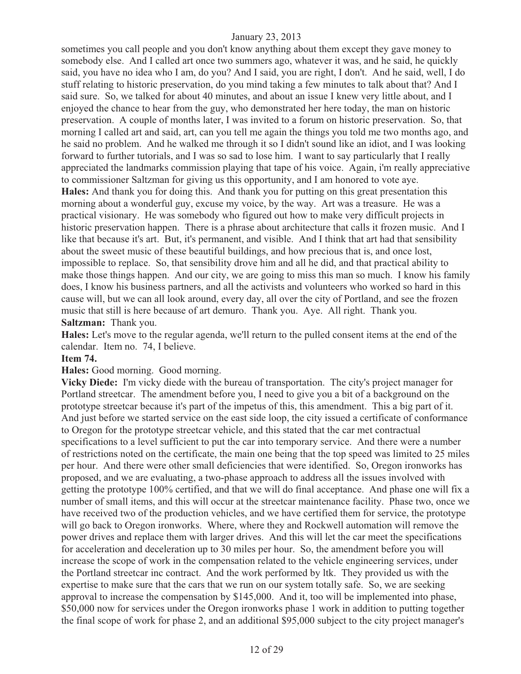sometimes you call people and you don't know anything about them except they gave money to somebody else. And I called art once two summers ago, whatever it was, and he said, he quickly said, you have no idea who I am, do you? And I said, you are right, I don't. And he said, well, I do stuff relating to historic preservation, do you mind taking a few minutes to talk about that? And I said sure. So, we talked for about 40 minutes, and about an issue I knew very little about, and I enjoyed the chance to hear from the guy, who demonstrated her here today, the man on historic preservation. A couple of months later, I was invited to a forum on historic preservation. So, that morning I called art and said, art, can you tell me again the things you told me two months ago, and he said no problem. And he walked me through it so I didn't sound like an idiot, and I was looking forward to further tutorials, and I was so sad to lose him. I want to say particularly that I really appreciated the landmarks commission playing that tape of his voice. Again, i'm really appreciative to commissioner Saltzman for giving us this opportunity, and I am honored to vote aye. **Hales:** And thank you for doing this. And thank you for putting on this great presentation this morning about a wonderful guy, excuse my voice, by the way. Art was a treasure. He was a practical visionary. He was somebody who figured out how to make very difficult projects in historic preservation happen. There is a phrase about architecture that calls it frozen music. And I like that because it's art. But, it's permanent, and visible. And I think that art had that sensibility about the sweet music of these beautiful buildings, and how precious that is, and once lost, impossible to replace. So, that sensibility drove him and all he did, and that practical ability to make those things happen. And our city, we are going to miss this man so much. I know his family does, I know his business partners, and all the activists and volunteers who worked so hard in this cause will, but we can all look around, every day, all over the city of Portland, and see the frozen music that still is here because of art demuro. Thank you. Aye. All right. Thank you. **Saltzman:** Thank you.

**Hales:** Let's move to the regular agenda, we'll return to the pulled consent items at the end of the calendar. Item no. 74, I believe.

#### **Item 74.**

**Hales:** Good morning. Good morning.

**Vicky Diede:** I'm vicky diede with the bureau of transportation. The city's project manager for Portland streetcar. The amendment before you, I need to give you a bit of a background on the prototype streetcar because it's part of the impetus of this, this amendment. This a big part of it. And just before we started service on the east side loop, the city issued a certificate of conformance to Oregon for the prototype streetcar vehicle, and this stated that the car met contractual specifications to a level sufficient to put the car into temporary service. And there were a number of restrictions noted on the certificate, the main one being that the top speed was limited to 25 miles per hour. And there were other small deficiencies that were identified. So, Oregon ironworks has proposed, and we are evaluating, a two-phase approach to address all the issues involved with getting the prototype 100% certified, and that we will do final acceptance. And phase one will fix a number of small items, and this will occur at the streetcar maintenance facility. Phase two, once we have received two of the production vehicles, and we have certified them for service, the prototype will go back to Oregon ironworks. Where, where they and Rockwell automation will remove the power drives and replace them with larger drives. And this will let the car meet the specifications for acceleration and deceleration up to 30 miles per hour. So, the amendment before you will increase the scope of work in the compensation related to the vehicle engineering services, under the Portland streetcar inc contract. And the work performed by ltk. They provided us with the expertise to make sure that the cars that we run on our system totally safe. So, we are seeking approval to increase the compensation by \$145,000. And it, too will be implemented into phase, \$50,000 now for services under the Oregon ironworks phase 1 work in addition to putting together the final scope of work for phase 2, and an additional \$95,000 subject to the city project manager's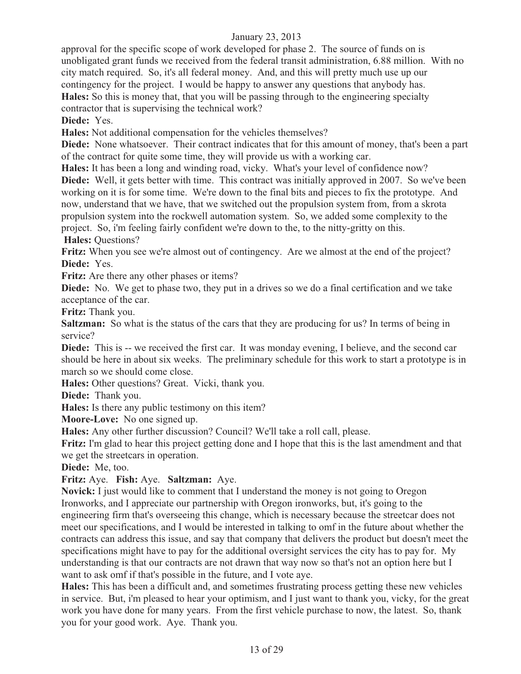approval for the specific scope of work developed for phase 2. The source of funds on is unobligated grant funds we received from the federal transit administration, 6.88 million. With no city match required. So, it's all federal money. And, and this will pretty much use up our contingency for the project. I would be happy to answer any questions that anybody has. **Hales:** So this is money that, that you will be passing through to the engineering specialty contractor that is supervising the technical work?

**Diede:** Yes.

**Hales:** Not additional compensation for the vehicles themselves?

**Diede:** None whatsoever. Their contract indicates that for this amount of money, that's been a part of the contract for quite some time, they will provide us with a working car.

**Hales:** It has been a long and winding road, vicky. What's your level of confidence now?

**Diede:** Well, it gets better with time. This contract was initially approved in 2007. So we've been working on it is for some time. We're down to the final bits and pieces to fix the prototype. And now, understand that we have, that we switched out the propulsion system from, from a skrota propulsion system into the rockwell automation system. So, we added some complexity to the project. So, i'm feeling fairly confident we're down to the, to the nitty-gritty on this.

**Hales:** Questions?

Fritz: When you see we're almost out of contingency. Are we almost at the end of the project? **Diede:** Yes.

**Fritz:** Are there any other phases or items?

**Diede:** No. We get to phase two, they put in a drives so we do a final certification and we take acceptance of the car.

**Fritz:** Thank you.

**Saltzman:** So what is the status of the cars that they are producing for us? In terms of being in service?

**Diede:** This is -- we received the first car. It was monday evening, I believe, and the second car should be here in about six weeks. The preliminary schedule for this work to start a prototype is in march so we should come close.

**Hales:** Other questions? Great. Vicki, thank you.

**Diede:** Thank you.

**Hales:** Is there any public testimony on this item?

**Moore-Love:** No one signed up.

**Hales:** Any other further discussion? Council? We'll take a roll call, please.

**Fritz:** I'm glad to hear this project getting done and I hope that this is the last amendment and that we get the streetcars in operation.

**Diede:** Me, too.

**Fritz:** Aye. **Fish:** Aye. **Saltzman:** Aye.

**Novick:** I just would like to comment that I understand the money is not going to Oregon Ironworks, and I appreciate our partnership with Oregon ironworks, but, it's going to the engineering firm that's overseeing this change, which is necessary because the streetcar does not meet our specifications, and I would be interested in talking to omf in the future about whether the contracts can address this issue, and say that company that delivers the product but doesn't meet the specifications might have to pay for the additional oversight services the city has to pay for. My understanding is that our contracts are not drawn that way now so that's not an option here but I want to ask omf if that's possible in the future, and I vote aye.

**Hales:** This has been a difficult and, and sometimes frustrating process getting these new vehicles in service. But, i'm pleased to hear your optimism, and I just want to thank you, vicky, for the great work you have done for many years. From the first vehicle purchase to now, the latest. So, thank you for your good work. Aye. Thank you.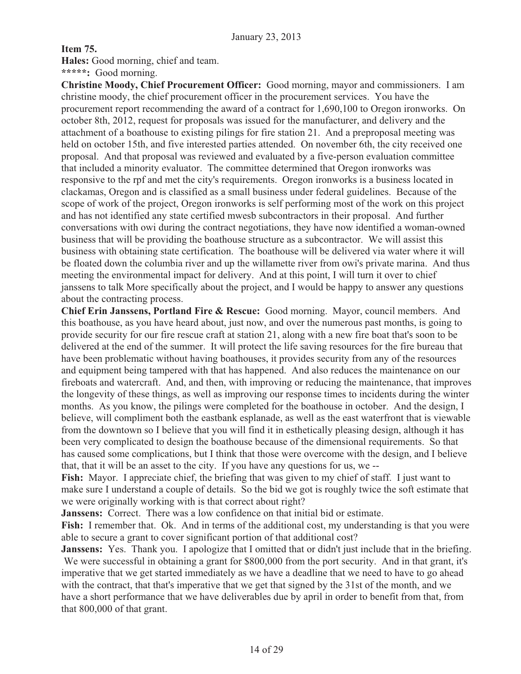## **Item 75.**

**Hales:** Good morning, chief and team.

**\*\*\*\*\*:** Good morning.

**Christine Moody, Chief Procurement Officer:** Good morning, mayor and commissioners. I am christine moody, the chief procurement officer in the procurement services. You have the procurement report recommending the award of a contract for 1,690,100 to Oregon ironworks. On october 8th, 2012, request for proposals was issued for the manufacturer, and delivery and the attachment of a boathouse to existing pilings for fire station 21. And a preproposal meeting was held on october 15th, and five interested parties attended. On november 6th, the city received one proposal. And that proposal was reviewed and evaluated by a five-person evaluation committee that included a minority evaluator. The committee determined that Oregon ironworks was responsive to the rpf and met the city's requirements. Oregon ironworks is a business located in clackamas, Oregon and is classified as a small business under federal guidelines. Because of the scope of work of the project, Oregon ironworks is self performing most of the work on this project and has not identified any state certified mwesb subcontractors in their proposal. And further conversations with owi during the contract negotiations, they have now identified a woman-owned business that will be providing the boathouse structure as a subcontractor. We will assist this business with obtaining state certification. The boathouse will be delivered via water where it will be floated down the columbia river and up the willamette river from owi's private marina. And thus meeting the environmental impact for delivery. And at this point, I will turn it over to chief janssens to talk More specifically about the project, and I would be happy to answer any questions about the contracting process.

**Chief Erin Janssens, Portland Fire & Rescue:** Good morning. Mayor, council members. And this boathouse, as you have heard about, just now, and over the numerous past months, is going to provide security for our fire rescue craft at station 21, along with a new fire boat that's soon to be delivered at the end of the summer. It will protect the life saving resources for the fire bureau that have been problematic without having boathouses, it provides security from any of the resources and equipment being tampered with that has happened. And also reduces the maintenance on our fireboats and watercraft. And, and then, with improving or reducing the maintenance, that improves the longevity of these things, as well as improving our response times to incidents during the winter months. As you know, the pilings were completed for the boathouse in october. And the design, I believe, will compliment both the eastbank esplanade, as well as the east waterfront that is viewable from the downtown so I believe that you will find it in esthetically pleasing design, although it has been very complicated to design the boathouse because of the dimensional requirements. So that has caused some complications, but I think that those were overcome with the design, and I believe that, that it will be an asset to the city. If you have any questions for us, we --

**Fish:** Mayor. I appreciate chief, the briefing that was given to my chief of staff. I just want to make sure I understand a couple of details. So the bid we got is roughly twice the soft estimate that we were originally working with is that correct about right?

**Janssens:** Correct. There was a low confidence on that initial bid or estimate.

Fish: I remember that. Ok. And in terms of the additional cost, my understanding is that you were able to secure a grant to cover significant portion of that additional cost?

**Janssens:** Yes. Thank you. I apologize that I omitted that or didn't just include that in the briefing. We were successful in obtaining a grant for \$800,000 from the port security. And in that grant, it's imperative that we get started immediately as we have a deadline that we need to have to go ahead with the contract, that that's imperative that we get that signed by the 31st of the month, and we have a short performance that we have deliverables due by april in order to benefit from that, from that 800,000 of that grant.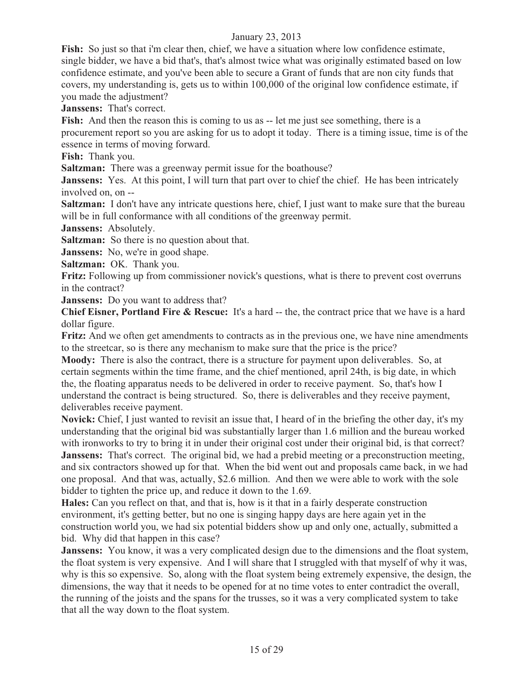Fish: So just so that i'm clear then, chief, we have a situation where low confidence estimate, single bidder, we have a bid that's, that's almost twice what was originally estimated based on low confidence estimate, and you've been able to secure a Grant of funds that are non city funds that covers, my understanding is, gets us to within 100,000 of the original low confidence estimate, if you made the adjustment?

**Janssens:** That's correct.

Fish: And then the reason this is coming to us as -- let me just see something, there is a procurement report so you are asking for us to adopt it today. There is a timing issue, time is of the essence in terms of moving forward.

**Fish:** Thank you.

**Saltzman:** There was a greenway permit issue for the boathouse?

**Janssens:** Yes. At this point, I will turn that part over to chief the chief. He has been intricately involved on, on --

**Saltzman:** I don't have any intricate questions here, chief, I just want to make sure that the bureau will be in full conformance with all conditions of the greenway permit.

**Janssens:** Absolutely.

**Saltzman:** So there is no question about that.

**Janssens:** No, we're in good shape.

**Saltzman:** OK. Thank you.

**Fritz:** Following up from commissioner novick's questions, what is there to prevent cost overruns in the contract?

**Janssens:** Do you want to address that?

**Chief Eisner, Portland Fire & Rescue:** It's a hard -- the, the contract price that we have is a hard dollar figure.

**Fritz:** And we often get amendments to contracts as in the previous one, we have nine amendments to the streetcar, so is there any mechanism to make sure that the price is the price?

**Moody:** There is also the contract, there is a structure for payment upon deliverables. So, at certain segments within the time frame, and the chief mentioned, april 24th, is big date, in which the, the floating apparatus needs to be delivered in order to receive payment. So, that's how I understand the contract is being structured. So, there is deliverables and they receive payment, deliverables receive payment.

**Novick:** Chief, I just wanted to revisit an issue that, I heard of in the briefing the other day, it's my understanding that the original bid was substantially larger than 1.6 million and the bureau worked with ironworks to try to bring it in under their original cost under their original bid, is that correct? **Janssens:** That's correct. The original bid, we had a prebid meeting or a preconstruction meeting, and six contractors showed up for that. When the bid went out and proposals came back, in we had one proposal. And that was, actually, \$2.6 million. And then we were able to work with the sole bidder to tighten the price up, and reduce it down to the 1.69.

**Hales:** Can you reflect on that, and that is, how is it that in a fairly desperate construction environment, it's getting better, but no one is singing happy days are here again yet in the construction world you, we had six potential bidders show up and only one, actually, submitted a bid. Why did that happen in this case?

**Janssens:** You know, it was a very complicated design due to the dimensions and the float system, the float system is very expensive. And I will share that I struggled with that myself of why it was, why is this so expensive. So, along with the float system being extremely expensive, the design, the dimensions, the way that it needs to be opened for at no time votes to enter contradict the overall, the running of the joists and the spans for the trusses, so it was a very complicated system to take that all the way down to the float system.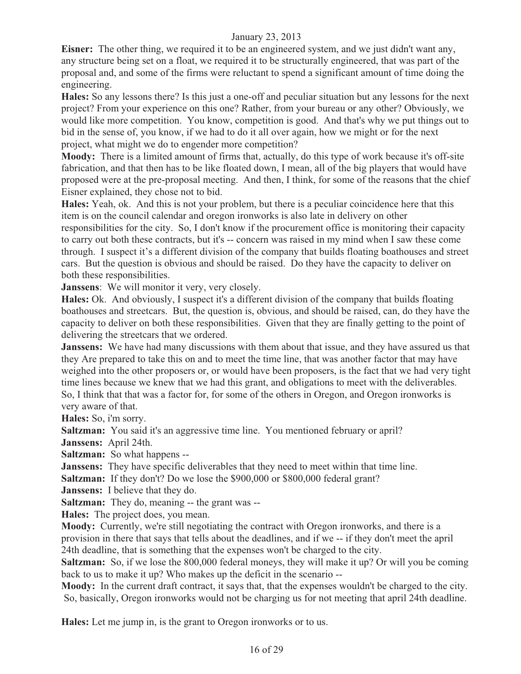**Eisner:** The other thing, we required it to be an engineered system, and we just didn't want any, any structure being set on a float, we required it to be structurally engineered, that was part of the proposal and, and some of the firms were reluctant to spend a significant amount of time doing the engineering.

**Hales:** So any lessons there? Is this just a one-off and peculiar situation but any lessons for the next project? From your experience on this one? Rather, from your bureau or any other? Obviously, we would like more competition. You know, competition is good. And that's why we put things out to bid in the sense of, you know, if we had to do it all over again, how we might or for the next project, what might we do to engender more competition?

**Moody:** There is a limited amount of firms that, actually, do this type of work because it's off-site fabrication, and that then has to be like floated down, I mean, all of the big players that would have proposed were at the pre-proposal meeting. And then, I think, for some of the reasons that the chief Eisner explained, they chose not to bid.

**Hales:** Yeah, ok. And this is not your problem, but there is a peculiar coincidence here that this item is on the council calendar and oregon ironworks is also late in delivery on other responsibilities for the city. So, I don't know if the procurement office is monitoring their capacity to carry out both these contracts, but it's -- concern was raised in my mind when I saw these come through. I suspect it's a different division of the company that builds floating boathouses and street cars. But the question is obvious and should be raised. Do they have the capacity to deliver on both these responsibilities.

**Janssens**: We will monitor it very, very closely.

**Hales:** Ok. And obviously, I suspect it's a different division of the company that builds floating boathouses and streetcars. But, the question is, obvious, and should be raised, can, do they have the capacity to deliver on both these responsibilities. Given that they are finally getting to the point of delivering the streetcars that we ordered.

**Janssens:** We have had many discussions with them about that issue, and they have assured us that they Are prepared to take this on and to meet the time line, that was another factor that may have weighed into the other proposers or, or would have been proposers, is the fact that we had very tight time lines because we knew that we had this grant, and obligations to meet with the deliverables. So, I think that that was a factor for, for some of the others in Oregon, and Oregon ironworks is very aware of that.

**Hales:** So, i'm sorry.

Saltzman: You said it's an aggressive time line. You mentioned february or april?

**Janssens:** April 24th.

**Saltzman:** So what happens --

**Janssens:** They have specific deliverables that they need to meet within that time line.

**Saltzman:** If they don't? Do we lose the \$900,000 or \$800,000 federal grant?

**Janssens:** I believe that they do.

**Saltzman:** They do, meaning -- the grant was --

**Hales:** The project does, you mean.

**Moody:** Currently, we're still negotiating the contract with Oregon ironworks, and there is a provision in there that says that tells about the deadlines, and if we -- if they don't meet the april 24th deadline, that is something that the expenses won't be charged to the city.

**Saltzman:** So, if we lose the 800,000 federal moneys, they will make it up? Or will you be coming back to us to make it up? Who makes up the deficit in the scenario --

**Moody:** In the current draft contract, it says that, that the expenses wouldn't be charged to the city. So, basically, Oregon ironworks would not be charging us for not meeting that april 24th deadline.

**Hales:** Let me jump in, is the grant to Oregon ironworks or to us.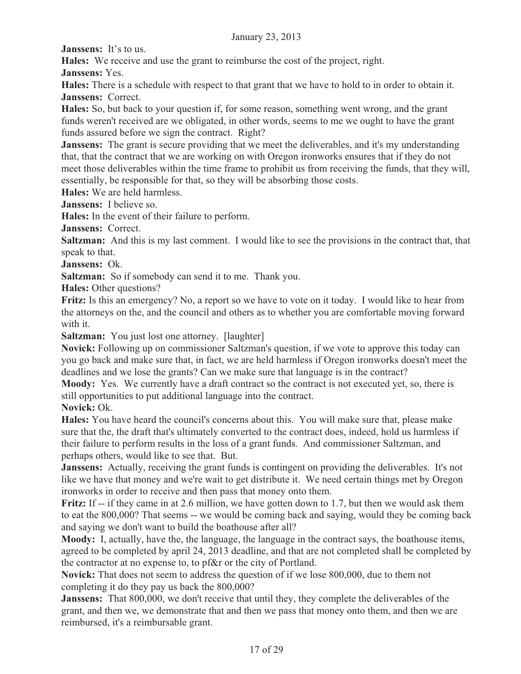**Janssens:** It's to us.

**Hales:** We receive and use the grant to reimburse the cost of the project, right.

**Janssens:** Yes.

**Hales:** There is a schedule with respect to that grant that we have to hold to in order to obtain it. **Janssens:** Correct.

**Hales:** So, but back to your question if, for some reason, something went wrong, and the grant funds weren't received are we obligated, in other words, seems to me we ought to have the grant funds assured before we sign the contract. Right?

**Janssens:** The grant is secure providing that we meet the deliverables, and it's my understanding that, that the contract that we are working on with Oregon ironworks ensures that if they do not meet those deliverables within the time frame to prohibit us from receiving the funds, that they will, essentially, be responsible for that, so they will be absorbing those costs.

**Hales:** We are held harmless.

**Janssens:** I believe so.

**Hales:** In the event of their failure to perform.

**Janssens:** Correct.

**Saltzman:** And this is my last comment. I would like to see the provisions in the contract that, that speak to that.

**Janssens:** Ok.

**Saltzman:** So if somebody can send it to me. Thank you.

**Hales:** Other questions?

**Fritz:** Is this an emergency? No, a report so we have to vote on it today. I would like to hear from the attorneys on the, and the council and others as to whether you are comfortable moving forward with it.

**Saltzman:** You just lost one attorney. [laughter]

**Novick:** Following up on commissioner Saltzman's question, if we vote to approve this today can you go back and make sure that, in fact, we are held harmless if Oregon ironworks doesn't meet the deadlines and we lose the grants? Can we make sure that language is in the contract?

**Moody:** Yes. We currently have a draft contract so the contract is not executed yet, so, there is still opportunities to put additional language into the contract.

**Novick:** Ok.

**Hales:** You have heard the council's concerns about this. You will make sure that, please make sure that the, the draft that's ultimately converted to the contract does, indeed, hold us harmless if their failure to perform results in the loss of a grant funds. And commissioner Saltzman, and perhaps others, would like to see that. But.

**Janssens:** Actually, receiving the grant funds is contingent on providing the deliverables. It's not like we have that money and we're wait to get distribute it. We need certain things met by Oregon ironworks in order to receive and then pass that money onto them.

**Fritz:** If -- if they came in at 2.6 million, we have gotten down to 1.7, but then we would ask them to eat the 800,000? That seems -- we would be coming back and saying, would they be coming back and saying we don't want to build the boathouse after all?

**Moody:** I, actually, have the, the language, the language in the contract says, the boathouse items, agreed to be completed by april 24, 2013 deadline, and that are not completed shall be completed by the contractor at no expense to, to pf&r or the city of Portland.

**Novick:** That does not seem to address the question of if we lose 800,000, due to them not completing it do they pay us back the 800,000?

**Janssens:** That 800,000, we don't receive that until they, they complete the deliverables of the grant, and then we, we demonstrate that and then we pass that money onto them, and then we are reimbursed, it's a reimbursable grant.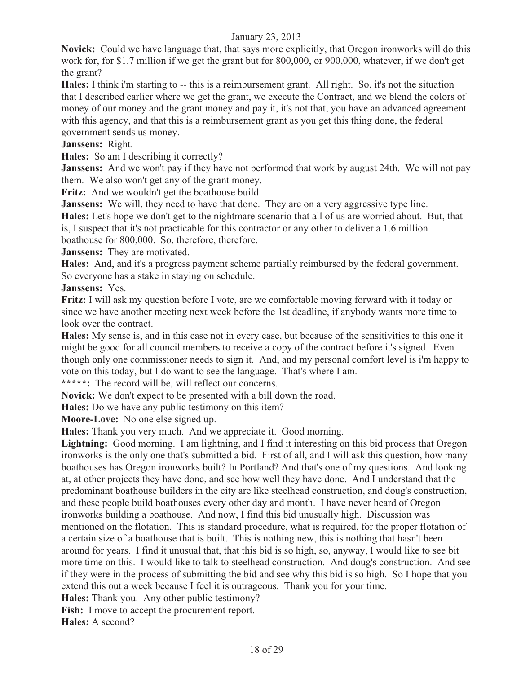**Novick:** Could we have language that, that says more explicitly, that Oregon ironworks will do this work for, for \$1.7 million if we get the grant but for 800,000, or 900,000, whatever, if we don't get the grant?

**Hales:** I think i'm starting to -- this is a reimbursement grant. All right. So, it's not the situation that I described earlier where we get the grant, we execute the Contract, and we blend the colors of money of our money and the grant money and pay it, it's not that, you have an advanced agreement with this agency, and that this is a reimbursement grant as you get this thing done, the federal government sends us money.

#### **Janssens:** Right.

**Hales:** So am I describing it correctly?

**Janssens:** And we won't pay if they have not performed that work by august 24th. We will not pay them. We also won't get any of the grant money.

Fritz: And we wouldn't get the boathouse build.

Janssens: We will, they need to have that done. They are on a very aggressive type line.

**Hales:** Let's hope we don't get to the nightmare scenario that all of us are worried about. But, that is, I suspect that it's not practicable for this contractor or any other to deliver a 1.6 million

boathouse for 800,000. So, therefore, therefore.

**Janssens:** They are motivated.

**Hales:** And, and it's a progress payment scheme partially reimbursed by the federal government. So everyone has a stake in staying on schedule.

**Janssens:** Yes.

**Fritz:** I will ask my question before I vote, are we comfortable moving forward with it today or since we have another meeting next week before the 1st deadline, if anybody wants more time to look over the contract.

**Hales:** My sense is, and in this case not in every case, but because of the sensitivities to this one it might be good for all council members to receive a copy of the contract before it's signed. Even though only one commissioner needs to sign it. And, and my personal comfort level is i'm happy to vote on this today, but I do want to see the language. That's where I am.

**\*\*\*\*\*:** The record will be, will reflect our concerns.

**Novick:** We don't expect to be presented with a bill down the road.

**Hales:** Do we have any public testimony on this item?

**Moore-Love:** No one else signed up.

**Hales:** Thank you very much. And we appreciate it. Good morning.

**Lightning:** Good morning. I am lightning, and I find it interesting on this bid process that Oregon ironworks is the only one that's submitted a bid. First of all, and I will ask this question, how many boathouses has Oregon ironworks built? In Portland? And that's one of my questions. And looking at, at other projects they have done, and see how well they have done. And I understand that the predominant boathouse builders in the city are like steelhead construction, and doug's construction, and these people build boathouses every other day and month. I have never heard of Oregon ironworks building a boathouse. And now, I find this bid unusually high. Discussion was mentioned on the flotation. This is standard procedure, what is required, for the proper flotation of a certain size of a boathouse that is built. This is nothing new, this is nothing that hasn't been around for years. I find it unusual that, that this bid is so high, so, anyway, I would like to see bit more time on this. I would like to talk to steelhead construction. And doug's construction. And see if they were in the process of submitting the bid and see why this bid is so high. So I hope that you extend this out a week because I feel it is outrageous. Thank you for your time.

**Hales:** Thank you. Any other public testimony?

**Fish:** I move to accept the procurement report.

**Hales:** A second?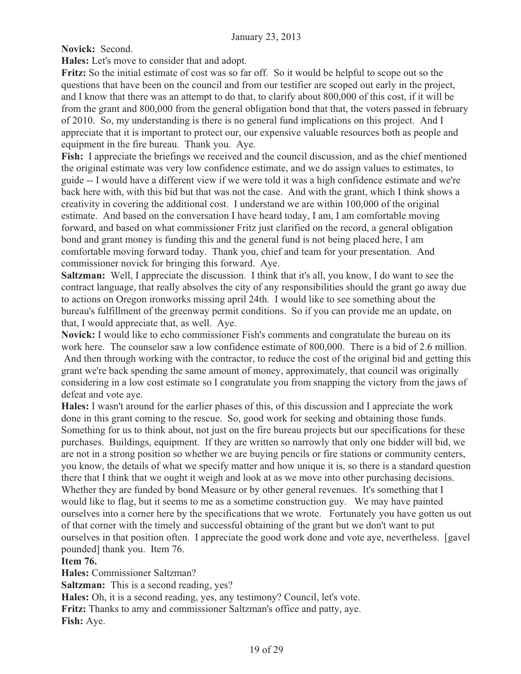**Novick:** Second.

**Hales:** Let's move to consider that and adopt.

**Fritz:** So the initial estimate of cost was so far off. So it would be helpful to scope out so the questions that have been on the council and from our testifier are scoped out early in the project, and I know that there was an attempt to do that, to clarify about 800,000 of this cost, if it will be from the grant and 800,000 from the general obligation bond that that, the voters passed in february of 2010. So, my understanding is there is no general fund implications on this project. And I appreciate that it is important to protect our, our expensive valuable resources both as people and equipment in the fire bureau. Thank you. Aye.

**Fish:** I appreciate the briefings we received and the council discussion, and as the chief mentioned the original estimate was very low confidence estimate, and we do assign values to estimates, to guide -- I would have a different view if we were told it was a high confidence estimate and we're back here with, with this bid but that was not the case. And with the grant, which I think shows a creativity in covering the additional cost. I understand we are within 100,000 of the original estimate. And based on the conversation I have heard today, I am, I am comfortable moving forward, and based on what commissioner Fritz just clarified on the record, a general obligation bond and grant money is funding this and the general fund is not being placed here, I am comfortable moving forward today. Thank you, chief and team for your presentation. And commissioner novick for bringing this forward. Aye.

**Saltzman:** Well, I appreciate the discussion. I think that it's all, you know, I do want to see the contract language, that really absolves the city of any responsibilities should the grant go away due to actions on Oregon ironworks missing april 24th. I would like to see something about the bureau's fulfillment of the greenway permit conditions. So if you can provide me an update, on that, I would appreciate that, as well. Aye.

**Novick:** I would like to echo commissioner Fish's comments and congratulate the bureau on its work here. The counselor saw a low confidence estimate of 800,000. There is a bid of 2.6 million. And then through working with the contractor, to reduce the cost of the original bid and getting this grant we're back spending the same amount of money, approximately, that council was originally considering in a low cost estimate so I congratulate you from snapping the victory from the jaws of defeat and vote aye.

**Hales:** I wasn't around for the earlier phases of this, of this discussion and I appreciate the work done in this grant coming to the rescue. So, good work for seeking and obtaining those funds. Something for us to think about, not just on the fire bureau projects but our specifications for these purchases. Buildings, equipment. If they are written so narrowly that only one bidder will bid, we are not in a strong position so whether we are buying pencils or fire stations or community centers, you know, the details of what we specify matter and how unique it is, so there is a standard question there that I think that we ought it weigh and look at as we move into other purchasing decisions. Whether they are funded by bond Measure or by other general revenues. It's something that I would like to flag, but it seems to me as a sometime construction guy. We may have painted ourselves into a corner here by the specifications that we wrote. Fortunately you have gotten us out of that corner with the timely and successful obtaining of the grant but we don't want to put ourselves in that position often. I appreciate the good work done and vote aye, nevertheless. [gavel pounded] thank you. Item 76.

## **Item 76.**

**Hales:** Commissioner Saltzman?

**Saltzman:** This is a second reading, yes?

**Hales:** Oh, it is a second reading, yes, any testimony? Council, let's vote.

**Fritz:** Thanks to amy and commissioner Saltzman's office and patty, aye. **Fish:** Aye.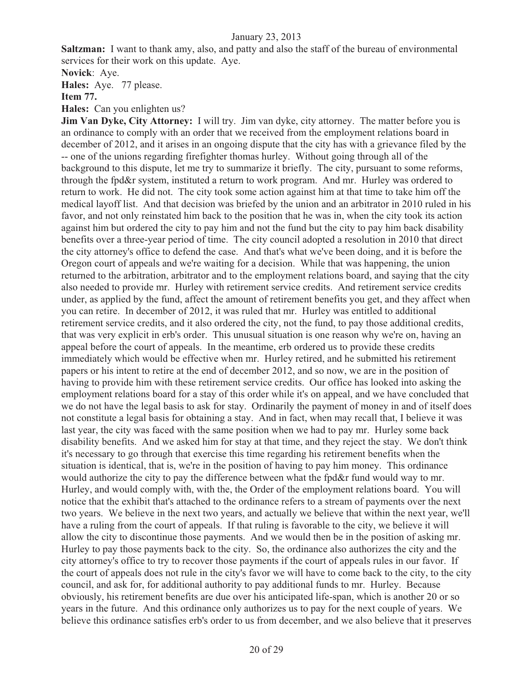**Saltzman:** I want to thank amy, also, and patty and also the staff of the bureau of environmental services for their work on this update. Aye.

**Novick**: Aye.

**Hales:** Aye. 77 please.

**Item 77.**

#### **Hales:** Can you enlighten us?

**Jim Van Dyke, City Attorney:** I will try. Jim van dyke, city attorney. The matter before you is an ordinance to comply with an order that we received from the employment relations board in december of 2012, and it arises in an ongoing dispute that the city has with a grievance filed by the -- one of the unions regarding firefighter thomas hurley. Without going through all of the background to this dispute, let me try to summarize it briefly. The city, pursuant to some reforms, through the fpd&r system, instituted a return to work program. And mr. Hurley was ordered to return to work. He did not. The city took some action against him at that time to take him off the medical layoff list. And that decision was briefed by the union and an arbitrator in 2010 ruled in his favor, and not only reinstated him back to the position that he was in, when the city took its action against him but ordered the city to pay him and not the fund but the city to pay him back disability benefits over a three-year period of time. The city council adopted a resolution in 2010 that direct the city attorney's office to defend the case. And that's what we've been doing, and it is before the Oregon court of appeals and we're waiting for a decision. While that was happening, the union returned to the arbitration, arbitrator and to the employment relations board, and saying that the city also needed to provide mr. Hurley with retirement service credits. And retirement service credits under, as applied by the fund, affect the amount of retirement benefits you get, and they affect when you can retire. In december of 2012, it was ruled that mr. Hurley was entitled to additional retirement service credits, and it also ordered the city, not the fund, to pay those additional credits, that was very explicit in erb's order. This unusual situation is one reason why we're on, having an appeal before the court of appeals. In the meantime, erb ordered us to provide these credits immediately which would be effective when mr. Hurley retired, and he submitted his retirement papers or his intent to retire at the end of december 2012, and so now, we are in the position of having to provide him with these retirement service credits. Our office has looked into asking the employment relations board for a stay of this order while it's on appeal, and we have concluded that we do not have the legal basis to ask for stay. Ordinarily the payment of money in and of itself does not constitute a legal basis for obtaining a stay. And in fact, when may recall that, I believe it was last year, the city was faced with the same position when we had to pay mr. Hurley some back disability benefits. And we asked him for stay at that time, and they reject the stay. We don't think it's necessary to go through that exercise this time regarding his retirement benefits when the situation is identical, that is, we're in the position of having to pay him money. This ordinance would authorize the city to pay the difference between what the fpd&r fund would way to mr. Hurley, and would comply with, with the, the Order of the employment relations board. You will notice that the exhibit that's attached to the ordinance refers to a stream of payments over the next two years. We believe in the next two years, and actually we believe that within the next year, we'll have a ruling from the court of appeals. If that ruling is favorable to the city, we believe it will allow the city to discontinue those payments. And we would then be in the position of asking mr. Hurley to pay those payments back to the city. So, the ordinance also authorizes the city and the city attorney's office to try to recover those payments if the court of appeals rules in our favor. If the court of appeals does not rule in the city's favor we will have to come back to the city, to the city council, and ask for, for additional authority to pay additional funds to mr. Hurley. Because obviously, his retirement benefits are due over his anticipated life-span, which is another 20 or so years in the future. And this ordinance only authorizes us to pay for the next couple of years. We believe this ordinance satisfies erb's order to us from december, and we also believe that it preserves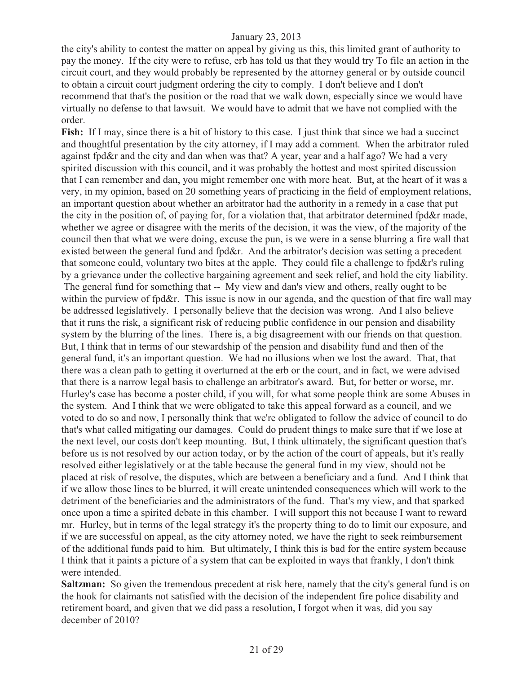the city's ability to contest the matter on appeal by giving us this, this limited grant of authority to pay the money. If the city were to refuse, erb has told us that they would try To file an action in the circuit court, and they would probably be represented by the attorney general or by outside council to obtain a circuit court judgment ordering the city to comply. I don't believe and I don't recommend that that's the position or the road that we walk down, especially since we would have virtually no defense to that lawsuit. We would have to admit that we have not complied with the order.

**Fish:** If I may, since there is a bit of history to this case. I just think that since we had a succinct and thoughtful presentation by the city attorney, if I may add a comment. When the arbitrator ruled against fpd&r and the city and dan when was that? A year, year and a half ago? We had a very spirited discussion with this council, and it was probably the hottest and most spirited discussion that I can remember and dan, you might remember one with more heat. But, at the heart of it was a very, in my opinion, based on 20 something years of practicing in the field of employment relations, an important question about whether an arbitrator had the authority in a remedy in a case that put the city in the position of, of paying for, for a violation that, that arbitrator determined fpd&r made, whether we agree or disagree with the merits of the decision, it was the view, of the majority of the council then that what we were doing, excuse the pun, is we were in a sense blurring a fire wall that existed between the general fund and fpd&r. And the arbitrator's decision was setting a precedent that someone could, voluntary two bites at the apple. They could file a challenge to fpd&r's ruling by a grievance under the collective bargaining agreement and seek relief, and hold the city liability. The general fund for something that -- My view and dan's view and others, really ought to be within the purview of fpd&r. This issue is now in our agenda, and the question of that fire wall may be addressed legislatively. I personally believe that the decision was wrong. And I also believe that it runs the risk, a significant risk of reducing public confidence in our pension and disability system by the blurring of the lines. There is, a big disagreement with our friends on that question. But, I think that in terms of our stewardship of the pension and disability fund and then of the general fund, it's an important question. We had no illusions when we lost the award. That, that there was a clean path to getting it overturned at the erb or the court, and in fact, we were advised that there is a narrow legal basis to challenge an arbitrator's award. But, for better or worse, mr. Hurley's case has become a poster child, if you will, for what some people think are some Abuses in the system. And I think that we were obligated to take this appeal forward as a council, and we voted to do so and now, I personally think that we're obligated to follow the advice of council to do that's what called mitigating our damages. Could do prudent things to make sure that if we lose at the next level, our costs don't keep mounting. But, I think ultimately, the significant question that's before us is not resolved by our action today, or by the action of the court of appeals, but it's really resolved either legislatively or at the table because the general fund in my view, should not be placed at risk of resolve, the disputes, which are between a beneficiary and a fund. And I think that if we allow those lines to be blurred, it will create unintended consequences which will work to the detriment of the beneficiaries and the administrators of the fund. That's my view, and that sparked once upon a time a spirited debate in this chamber. I will support this not because I want to reward mr. Hurley, but in terms of the legal strategy it's the property thing to do to limit our exposure, and if we are successful on appeal, as the city attorney noted, we have the right to seek reimbursement of the additional funds paid to him. But ultimately, I think this is bad for the entire system because I think that it paints a picture of a system that can be exploited in ways that frankly, I don't think were intended.

**Saltzman:** So given the tremendous precedent at risk here, namely that the city's general fund is on the hook for claimants not satisfied with the decision of the independent fire police disability and retirement board, and given that we did pass a resolution, I forgot when it was, did you say december of 2010?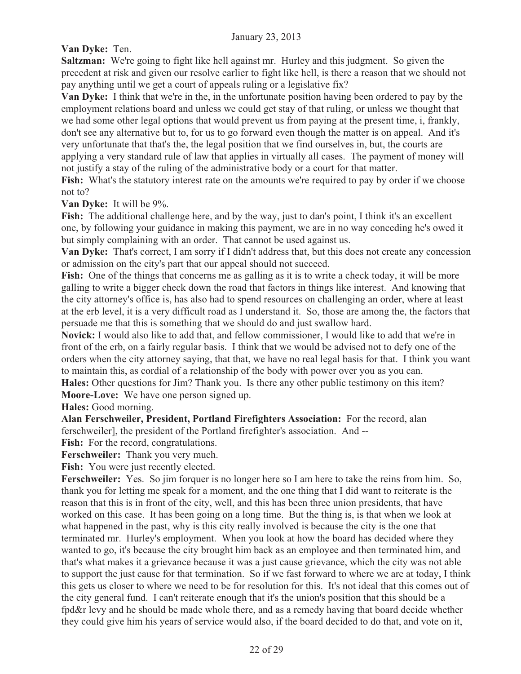**Van Dyke:** Ten.

**Saltzman:** We're going to fight like hell against mr. Hurley and this judgment. So given the precedent at risk and given our resolve earlier to fight like hell, is there a reason that we should not pay anything until we get a court of appeals ruling or a legislative fix?

**Van Dyke:** I think that we're in the, in the unfortunate position having been ordered to pay by the employment relations board and unless we could get stay of that ruling, or unless we thought that we had some other legal options that would prevent us from paying at the present time, i, frankly, don't see any alternative but to, for us to go forward even though the matter is on appeal. And it's very unfortunate that that's the, the legal position that we find ourselves in, but, the courts are applying a very standard rule of law that applies in virtually all cases. The payment of money will not justify a stay of the ruling of the administrative body or a court for that matter.

**Fish:** What's the statutory interest rate on the amounts we're required to pay by order if we choose not to?

**Van Dyke:** It will be 9%.

**Fish:** The additional challenge here, and by the way, just to dan's point, I think it's an excellent one, by following your guidance in making this payment, we are in no way conceding he's owed it but simply complaining with an order. That cannot be used against us.

**Van Dyke:** That's correct, I am sorry if I didn't address that, but this does not create any concession or admission on the city's part that our appeal should not succeed.

**Fish:** One of the things that concerns me as galling as it is to write a check today, it will be more galling to write a bigger check down the road that factors in things like interest. And knowing that the city attorney's office is, has also had to spend resources on challenging an order, where at least at the erb level, it is a very difficult road as I understand it. So, those are among the, the factors that persuade me that this is something that we should do and just swallow hard.

**Novick:** I would also like to add that, and fellow commissioner, I would like to add that we're in front of the erb, on a fairly regular basis. I think that we would be advised not to defy one of the orders when the city attorney saying, that that, we have no real legal basis for that. I think you want to maintain this, as cordial of a relationship of the body with power over you as you can.

**Hales:** Other questions for Jim? Thank you. Is there any other public testimony on this item? **Moore-Love:** We have one person signed up.

**Hales:** Good morning.

**Alan Ferschweiler, President, Portland Firefighters Association:** For the record, alan ferschweiler], the president of the Portland firefighter's association. And --

Fish: For the record, congratulations.

**Ferschweiler:** Thank you very much.

Fish: You were just recently elected.

**Ferschweiler:** Yes. So jim forquer is no longer here so I am here to take the reins from him. So, thank you for letting me speak for a moment, and the one thing that I did want to reiterate is the reason that this is in front of the city, well, and this has been three union presidents, that have worked on this case. It has been going on a long time. But the thing is, is that when we look at what happened in the past, why is this city really involved is because the city is the one that terminated mr. Hurley's employment. When you look at how the board has decided where they wanted to go, it's because the city brought him back as an employee and then terminated him, and that's what makes it a grievance because it was a just cause grievance, which the city was not able to support the just cause for that termination. So if we fast forward to where we are at today, I think this gets us closer to where we need to be for resolution for this. It's not ideal that this comes out of the city general fund. I can't reiterate enough that it's the union's position that this should be a fpd&r levy and he should be made whole there, and as a remedy having that board decide whether they could give him his years of service would also, if the board decided to do that, and vote on it,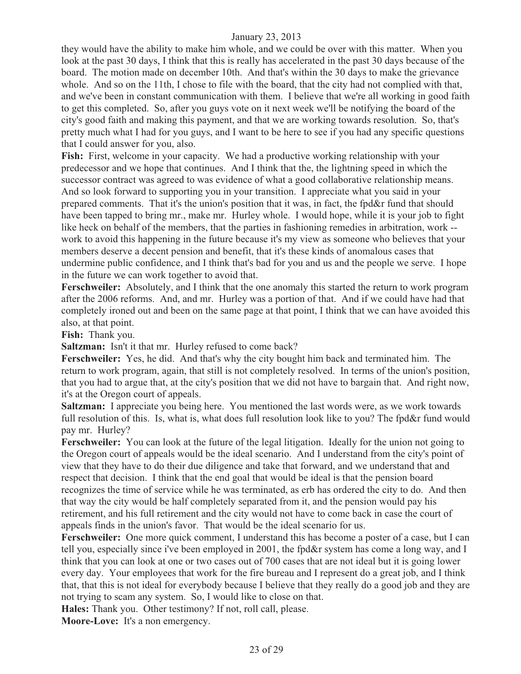they would have the ability to make him whole, and we could be over with this matter. When you look at the past 30 days, I think that this is really has accelerated in the past 30 days because of the board. The motion made on december 10th. And that's within the 30 days to make the grievance whole. And so on the 11th, I chose to file with the board, that the city had not complied with that, and we've been in constant communication with them. I believe that we're all working in good faith to get this completed. So, after you guys vote on it next week we'll be notifying the board of the city's good faith and making this payment, and that we are working towards resolution. So, that's pretty much what I had for you guys, and I want to be here to see if you had any specific questions that I could answer for you, also.

**Fish:** First, welcome in your capacity. We had a productive working relationship with your predecessor and we hope that continues. And I think that the, the lightning speed in which the successor contract was agreed to was evidence of what a good collaborative relationship means. And so look forward to supporting you in your transition. I appreciate what you said in your prepared comments. That it's the union's position that it was, in fact, the fpd&r fund that should have been tapped to bring mr., make mr. Hurley whole. I would hope, while it is your job to fight like heck on behalf of the members, that the parties in fashioning remedies in arbitration, work - work to avoid this happening in the future because it's my view as someone who believes that your members deserve a decent pension and benefit, that it's these kinds of anomalous cases that undermine public confidence, and I think that's bad for you and us and the people we serve. I hope in the future we can work together to avoid that.

**Ferschweiler:** Absolutely, and I think that the one anomaly this started the return to work program after the 2006 reforms. And, and mr. Hurley was a portion of that. And if we could have had that completely ironed out and been on the same page at that point, I think that we can have avoided this also, at that point.

**Fish:** Thank you.

**Saltzman:** Isn't it that mr. Hurley refused to come back?

**Ferschweiler:** Yes, he did. And that's why the city bought him back and terminated him. The return to work program, again, that still is not completely resolved. In terms of the union's position, that you had to argue that, at the city's position that we did not have to bargain that. And right now, it's at the Oregon court of appeals.

**Saltzman:** I appreciate you being here. You mentioned the last words were, as we work towards full resolution of this. Is, what is, what does full resolution look like to you? The fpd&r fund would pay mr. Hurley?

**Ferschweiler:** You can look at the future of the legal litigation. Ideally for the union not going to the Oregon court of appeals would be the ideal scenario. And I understand from the city's point of view that they have to do their due diligence and take that forward, and we understand that and respect that decision. I think that the end goal that would be ideal is that the pension board recognizes the time of service while he was terminated, as erb has ordered the city to do. And then that way the city would be half completely separated from it, and the pension would pay his retirement, and his full retirement and the city would not have to come back in case the court of appeals finds in the union's favor. That would be the ideal scenario for us.

**Ferschweiler:** One more quick comment, I understand this has become a poster of a case, but I can tell you, especially since i've been employed in 2001, the fpd&r system has come a long way, and I think that you can look at one or two cases out of 700 cases that are not ideal but it is going lower every day. Your employees that work for the fire bureau and I represent do a great job, and I think that, that this is not ideal for everybody because I believe that they really do a good job and they are not trying to scam any system. So, I would like to close on that.

**Hales:** Thank you. Other testimony? If not, roll call, please. **Moore-Love:** It's a non emergency.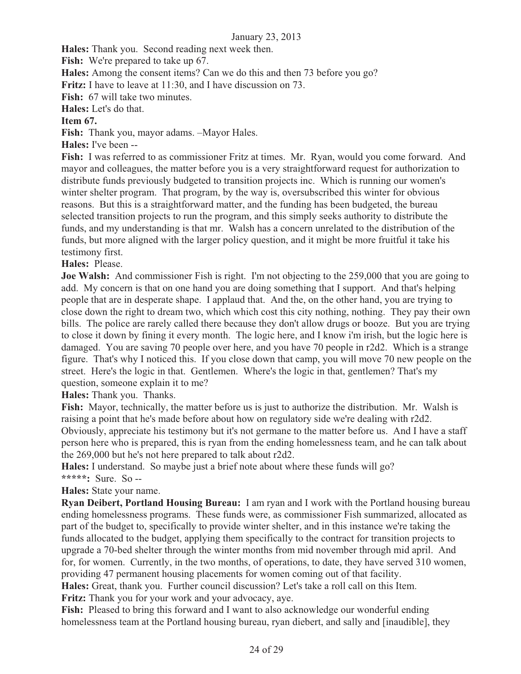**Hales:** Thank you. Second reading next week then.

Fish: We're prepared to take up 67.

**Hales:** Among the consent items? Can we do this and then 73 before you go?

**Fritz:** I have to leave at 11:30, and I have discussion on 73.

**Fish:** 67 will take two minutes.

**Hales:** Let's do that.

## **Item 67.**

**Fish:** Thank you, mayor adams. –Mayor Hales.

**Hales:** I've been --

**Fish:** I was referred to as commissioner Fritz at times. Mr. Ryan, would you come forward. And mayor and colleagues, the matter before you is a very straightforward request for authorization to distribute funds previously budgeted to transition projects inc. Which is running our women's winter shelter program. That program, by the way is, oversubscribed this winter for obvious reasons. But this is a straightforward matter, and the funding has been budgeted, the bureau selected transition projects to run the program, and this simply seeks authority to distribute the funds, and my understanding is that mr. Walsh has a concern unrelated to the distribution of the funds, but more aligned with the larger policy question, and it might be more fruitful it take his testimony first.

## **Hales:** Please.

**Joe Walsh:** And commissioner Fish is right. I'm not objecting to the 259,000 that you are going to add. My concern is that on one hand you are doing something that I support. And that's helping people that are in desperate shape. I applaud that. And the, on the other hand, you are trying to close down the right to dream two, which which cost this city nothing, nothing. They pay their own bills. The police are rarely called there because they don't allow drugs or booze. But you are trying to close it down by fining it every month. The logic here, and I know i'm irish, but the logic here is damaged. You are saving 70 people over here, and you have 70 people in r2d2. Which is a strange figure. That's why I noticed this. If you close down that camp, you will move 70 new people on the street. Here's the logic in that. Gentlemen. Where's the logic in that, gentlemen? That's my question, someone explain it to me?

**Hales:** Thank you. Thanks.

**Fish:** Mayor, technically, the matter before us is just to authorize the distribution. Mr. Walsh is raising a point that he's made before about how on regulatory side we're dealing with r2d2. Obviously, appreciate his testimony but it's not germane to the matter before us. And I have a staff person here who is prepared, this is ryan from the ending homelessness team, and he can talk about the 269,000 but he's not here prepared to talk about r2d2.

**Hales:** I understand. So maybe just a brief note about where these funds will go? **\*\*\*\*\*:** Sure. So --

#### **Hales:** State your name.

**Ryan Deibert, Portland Housing Bureau:** I am ryan and I work with the Portland housing bureau ending homelessness programs. These funds were, as commissioner Fish summarized, allocated as part of the budget to, specifically to provide winter shelter, and in this instance we're taking the funds allocated to the budget, applying them specifically to the contract for transition projects to upgrade a 70-bed shelter through the winter months from mid november through mid april. And for, for women. Currently, in the two months, of operations, to date, they have served 310 women, providing 47 permanent housing placements for women coming out of that facility. **Hales:** Great, thank you. Further council discussion? Let's take a roll call on this Item. **Fritz:** Thank you for your work and your advocacy, aye.

**Fish:** Pleased to bring this forward and I want to also acknowledge our wonderful ending homelessness team at the Portland housing bureau, ryan diebert, and sally and [inaudible], they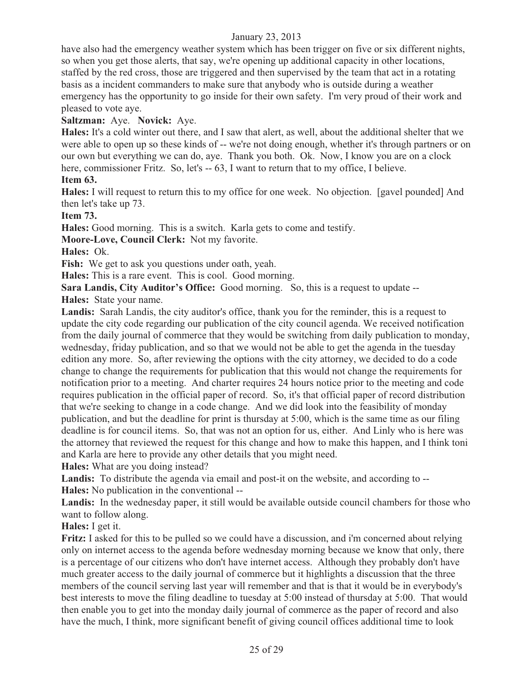have also had the emergency weather system which has been trigger on five or six different nights, so when you get those alerts, that say, we're opening up additional capacity in other locations, staffed by the red cross, those are triggered and then supervised by the team that act in a rotating basis as a incident commanders to make sure that anybody who is outside during a weather emergency has the opportunity to go inside for their own safety. I'm very proud of their work and pleased to vote aye.

**Saltzman:** Aye. **Novick:** Aye.

**Hales:** It's a cold winter out there, and I saw that alert, as well, about the additional shelter that we were able to open up so these kinds of -- we're not doing enough, whether it's through partners or on our own but everything we can do, aye. Thank you both. Ok. Now, I know you are on a clock here, commissioner Fritz. So, let's -- 63, I want to return that to my office. I believe.

## **Item 63.**

**Hales:** I will request to return this to my office for one week. No objection. [gavel pounded] And then let's take up 73.

**Item 73.**

**Hales:** Good morning. This is a switch. Karla gets to come and testify.

**Moore-Love, Council Clerk:** Not my favorite.

**Hales:** Ok.

Fish: We get to ask you questions under oath, yeah.

**Hales:** This is a rare event. This is cool. Good morning.

**Sara Landis, City Auditor's Office:** Good morning. So, this is a request to update --

**Hales:** State your name.

**Landis:** Sarah Landis, the city auditor's office, thank you for the reminder, this is a request to update the city code regarding our publication of the city council agenda. We received notification from the daily journal of commerce that they would be switching from daily publication to monday, wednesday, friday publication, and so that we would not be able to get the agenda in the tuesday edition any more. So, after reviewing the options with the city attorney, we decided to do a code change to change the requirements for publication that this would not change the requirements for notification prior to a meeting. And charter requires 24 hours notice prior to the meeting and code requires publication in the official paper of record. So, it's that official paper of record distribution that we're seeking to change in a code change. And we did look into the feasibility of monday publication, and but the deadline for print is thursday at 5:00, which is the same time as our filing deadline is for council items. So, that was not an option for us, either. And Linly who is here was the attorney that reviewed the request for this change and how to make this happen, and I think toni and Karla are here to provide any other details that you might need.

**Hales:** What are you doing instead?

**Landis:** To distribute the agenda via email and post-it on the website, and according to -- **Hales:** No publication in the conventional --

Landis: In the wednesday paper, it still would be available outside council chambers for those who want to follow along.

**Hales:** I get it.

**Fritz:** I asked for this to be pulled so we could have a discussion, and i'm concerned about relying only on internet access to the agenda before wednesday morning because we know that only, there is a percentage of our citizens who don't have internet access. Although they probably don't have much greater access to the daily journal of commerce but it highlights a discussion that the three members of the council serving last year will remember and that is that it would be in everybody's best interests to move the filing deadline to tuesday at 5:00 instead of thursday at 5:00. That would then enable you to get into the monday daily journal of commerce as the paper of record and also have the much, I think, more significant benefit of giving council offices additional time to look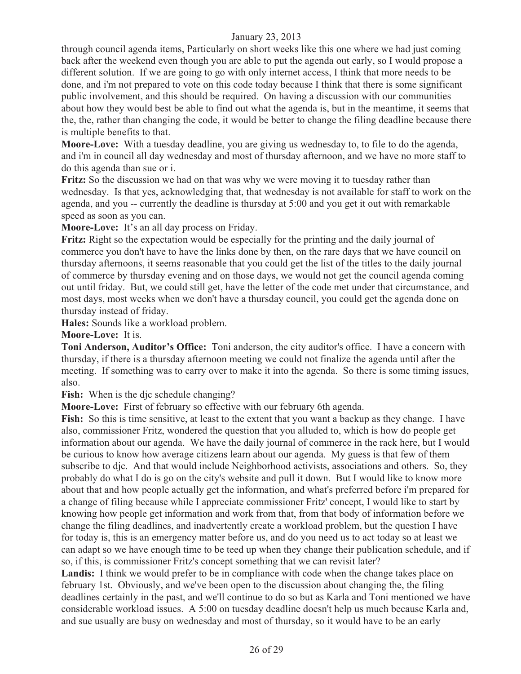through council agenda items, Particularly on short weeks like this one where we had just coming back after the weekend even though you are able to put the agenda out early, so I would propose a different solution. If we are going to go with only internet access, I think that more needs to be done, and i'm not prepared to vote on this code today because I think that there is some significant public involvement, and this should be required. On having a discussion with our communities about how they would best be able to find out what the agenda is, but in the meantime, it seems that the, the, rather than changing the code, it would be better to change the filing deadline because there is multiple benefits to that.

**Moore-Love:** With a tuesday deadline, you are giving us wednesday to, to file to do the agenda, and i'm in council all day wednesday and most of thursday afternoon, and we have no more staff to do this agenda than sue or i.

**Fritz:** So the discussion we had on that was why we were moving it to tuesday rather than wednesday. Is that yes, acknowledging that, that wednesday is not available for staff to work on the agenda, and you -- currently the deadline is thursday at 5:00 and you get it out with remarkable speed as soon as you can.

**Moore-Love:** It's an all day process on Friday.

**Fritz:** Right so the expectation would be especially for the printing and the daily journal of commerce you don't have to have the links done by then, on the rare days that we have council on thursday afternoons, it seems reasonable that you could get the list of the titles to the daily journal of commerce by thursday evening and on those days, we would not get the council agenda coming out until friday. But, we could still get, have the letter of the code met under that circumstance, and most days, most weeks when we don't have a thursday council, you could get the agenda done on thursday instead of friday.

**Hales:** Sounds like a workload problem.

**Moore-Love:** It is.

**Toni Anderson, Auditor's Office:** Toni anderson, the city auditor's office. I have a concern with thursday, if there is a thursday afternoon meeting we could not finalize the agenda until after the meeting. If something was to carry over to make it into the agenda. So there is some timing issues, also.

Fish: When is the dic schedule changing?

**Moore-Love:** First of february so effective with our february 6th agenda.

**Fish:** So this is time sensitive, at least to the extent that you want a backup as they change. I have also, commissioner Fritz, wondered the question that you alluded to, which is how do people get information about our agenda. We have the daily journal of commerce in the rack here, but I would be curious to know how average citizens learn about our agenda. My guess is that few of them subscribe to djc. And that would include Neighborhood activists, associations and others. So, they probably do what I do is go on the city's website and pull it down. But I would like to know more about that and how people actually get the information, and what's preferred before i'm prepared for a change of filing because while I appreciate commissioner Fritz' concept, I would like to start by knowing how people get information and work from that, from that body of information before we change the filing deadlines, and inadvertently create a workload problem, but the question I have for today is, this is an emergency matter before us, and do you need us to act today so at least we can adapt so we have enough time to be teed up when they change their publication schedule, and if so, if this, is commissioner Fritz's concept something that we can revisit later?

Landis: I think we would prefer to be in compliance with code when the change takes place on february 1st. Obviously, and we've been open to the discussion about changing the, the filing deadlines certainly in the past, and we'll continue to do so but as Karla and Toni mentioned we have considerable workload issues. A 5:00 on tuesday deadline doesn't help us much because Karla and, and sue usually are busy on wednesday and most of thursday, so it would have to be an early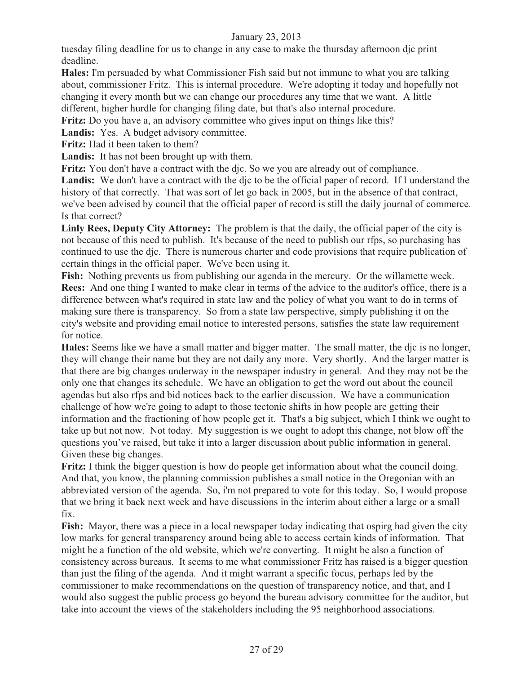tuesday filing deadline for us to change in any case to make the thursday afternoon djc print deadline.

**Hales:** I'm persuaded by what Commissioner Fish said but not immune to what you are talking about, commissioner Fritz. This is internal procedure. We're adopting it today and hopefully not changing it every month but we can change our procedures any time that we want. A little different, higher hurdle for changing filing date, but that's also internal procedure.

**Fritz:** Do you have a, an advisory committee who gives input on things like this?

Landis: Yes. A budget advisory committee.

**Fritz:** Had it been taken to them?

**Landis:** It has not been brought up with them.

**Fritz:** You don't have a contract with the djc. So we you are already out of compliance.

**Landis:** We don't have a contract with the djc to be the official paper of record. If I understand the history of that correctly. That was sort of let go back in 2005, but in the absence of that contract, we've been advised by council that the official paper of record is still the daily journal of commerce. Is that correct?

**Linly Rees, Deputy City Attorney:** The problem is that the daily, the official paper of the city is not because of this need to publish. It's because of the need to publish our rfps, so purchasing has continued to use the djc. There is numerous charter and code provisions that require publication of certain things in the official paper. We've been using it.

**Fish:** Nothing prevents us from publishing our agenda in the mercury. Or the willamette week. **Rees:** And one thing I wanted to make clear in terms of the advice to the auditor's office, there is a difference between what's required in state law and the policy of what you want to do in terms of making sure there is transparency. So from a state law perspective, simply publishing it on the city's website and providing email notice to interested persons, satisfies the state law requirement for notice.

**Hales:** Seems like we have a small matter and bigger matter. The small matter, the djc is no longer, they will change their name but they are not daily any more. Very shortly. And the larger matter is that there are big changes underway in the newspaper industry in general. And they may not be the only one that changes its schedule. We have an obligation to get the word out about the council agendas but also rfps and bid notices back to the earlier discussion. We have a communication challenge of how we're going to adapt to those tectonic shifts in how people are getting their information and the fractioning of how people get it. That's a big subject, which I think we ought to take up but not now. Not today. My suggestion is we ought to adopt this change, not blow off the questions you've raised, but take it into a larger discussion about public information in general. Given these big changes.

**Fritz:** I think the bigger question is how do people get information about what the council doing. And that, you know, the planning commission publishes a small notice in the Oregonian with an abbreviated version of the agenda. So, i'm not prepared to vote for this today. So, I would propose that we bring it back next week and have discussions in the interim about either a large or a small fix.

**Fish:** Mayor, there was a piece in a local newspaper today indicating that ospirg had given the city low marks for general transparency around being able to access certain kinds of information. That might be a function of the old website, which we're converting. It might be also a function of consistency across bureaus. It seems to me what commissioner Fritz has raised is a bigger question than just the filing of the agenda. And it might warrant a specific focus, perhaps led by the commissioner to make recommendations on the question of transparency notice, and that, and I would also suggest the public process go beyond the bureau advisory committee for the auditor, but take into account the views of the stakeholders including the 95 neighborhood associations.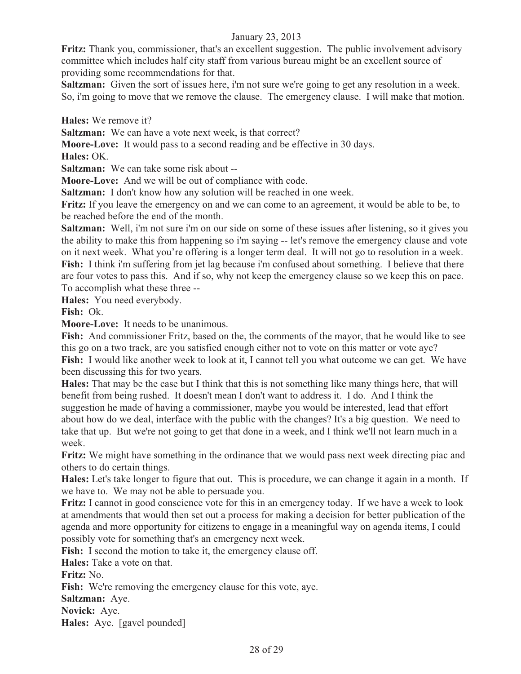**Fritz:** Thank you, commissioner, that's an excellent suggestion. The public involvement advisory committee which includes half city staff from various bureau might be an excellent source of providing some recommendations for that.

**Saltzman:** Given the sort of issues here, i'm not sure we're going to get any resolution in a week. So, i'm going to move that we remove the clause. The emergency clause. I will make that motion.

**Hales:** We remove it?

**Saltzman:** We can have a vote next week, is that correct?

**Moore-Love:** It would pass to a second reading and be effective in 30 days.

**Hales:** OK.

**Saltzman:** We can take some risk about --

**Moore-Love:** And we will be out of compliance with code.

**Saltzman:** I don't know how any solution will be reached in one week.

**Fritz:** If you leave the emergency on and we can come to an agreement, it would be able to be, to be reached before the end of the month.

**Saltzman:** Well, i'm not sure i'm on our side on some of these issues after listening, so it gives you the ability to make this from happening so i'm saying -- let's remove the emergency clause and vote on it next week. What you're offering is a longer term deal. It will not go to resolution in a week. Fish: I think i'm suffering from jet lag because i'm confused about something. I believe that there are four votes to pass this. And if so, why not keep the emergency clause so we keep this on pace. To accomplish what these three --

**Hales:** You need everybody.

**Fish:** Ok.

**Moore-Love:** It needs to be unanimous.

**Fish:** And commissioner Fritz, based on the, the comments of the mayor, that he would like to see this go on a two track, are you satisfied enough either not to vote on this matter or vote aye? **Fish:** I would like another week to look at it, I cannot tell you what outcome we can get. We have been discussing this for two years.

**Hales:** That may be the case but I think that this is not something like many things here, that will benefit from being rushed. It doesn't mean I don't want to address it. I do. And I think the suggestion he made of having a commissioner, maybe you would be interested, lead that effort about how do we deal, interface with the public with the changes? It's a big question. We need to take that up. But we're not going to get that done in a week, and I think we'll not learn much in a week.

**Fritz:** We might have something in the ordinance that we would pass next week directing piac and others to do certain things.

**Hales:** Let's take longer to figure that out. This is procedure, we can change it again in a month. If we have to. We may not be able to persuade you.

**Fritz:** I cannot in good conscience vote for this in an emergency today. If we have a week to look at amendments that would then set out a process for making a decision for better publication of the agenda and more opportunity for citizens to engage in a meaningful way on agenda items, I could possibly vote for something that's an emergency next week.

**Fish:** I second the motion to take it, the emergency clause off.

**Hales:** Take a vote on that.

**Fritz:** No.

Fish: We're removing the emergency clause for this vote, aye.

**Saltzman:** Aye.

**Novick:** Aye.

**Hales:** Aye. [gavel pounded]